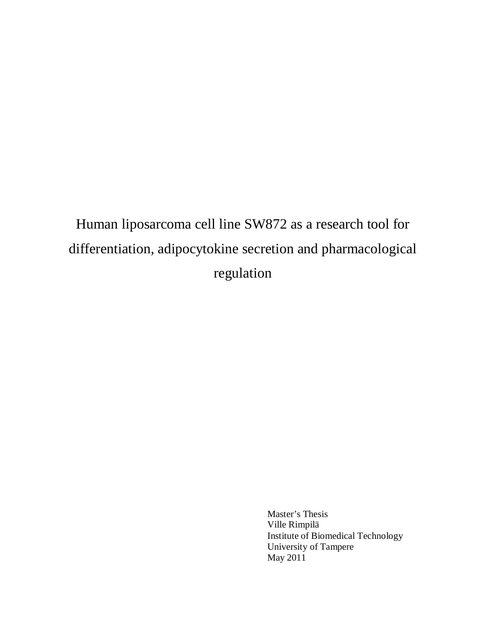# Human liposarcoma cell line SW872 as a research tool for differentiation, adipocytokine secretion and pharmacological regulation

Master's Thesis Ville Rimpilä Institute of Biomedical Technology University of Tampere May 2011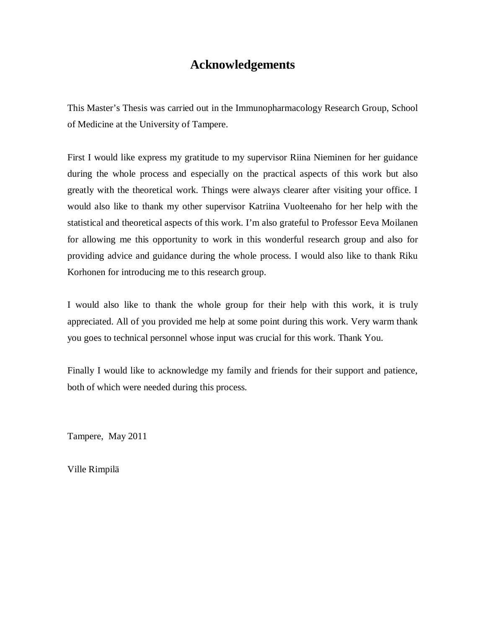## **Acknowledgements**

This Master's Thesis was carried out in the Immunopharmacology Research Group, School of Medicine at the University of Tampere.

First I would like express my gratitude to my supervisor Riina Nieminen for her guidance during the whole process and especially on the practical aspects of this work but also greatly with the theoretical work. Things were always clearer after visiting your office. I would also like to thank my other supervisor Katriina Vuolteenaho for her help with the statistical and theoretical aspects of this work. I'm also grateful to Professor Eeva Moilanen for allowing me this opportunity to work in this wonderful research group and also for providing advice and guidance during the whole process. I would also like to thank Riku Korhonen for introducing me to this research group.

I would also like to thank the whole group for their help with this work, it is truly appreciated. All of you provided me help at some point during this work. Very warm thank you goes to technical personnel whose input was crucial for this work. Thank You.

Finally I would like to acknowledge my family and friends for their support and patience, both of which were needed during this process.

Tampere, May 2011

Ville Rimpilä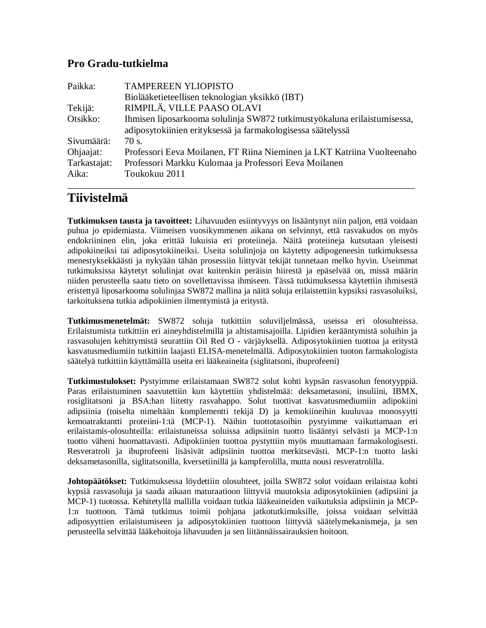#### **Pro Gradu-tutkielma**

| Paikka:      | <b>TAMPEREEN YLIOPISTO</b>                                               |
|--------------|--------------------------------------------------------------------------|
|              | Biolääketieteellisen teknologian yksikkö (IBT)                           |
| Tekijä:      | RIMPILÄ, VILLE PAASO OLAVI                                               |
| Otsikko:     | Ihmisen liposarkooma solulinja SW872 tutkimustyökaluna erilaistumisessa, |
|              | adiposytokiinien erityksessä ja farmakologisessa säätelyssä              |
| Sivumäärä:   | 70 s.                                                                    |
| Ohjaajat:    | Professori Eeva Moilanen, FT Riina Nieminen ja LKT Katriina Vuolteenaho  |
| Tarkastajat: | Professori Markku Kulomaa ja Professori Eeva Moilanen                    |
| Aika:        | Toukokuu 2011                                                            |
|              |                                                                          |

## **Tiivistelmä**

**Tutkimuksen tausta ja tavoitteet:** Lihavuuden esiintyvyys on lisääntynyt niin paljon, että voidaan puhua jo epidemiasta. Viimeisen vuosikymmenen aikana on selvinnyt, että rasvakudos on myös endokriininen elin, joka erittää lukuisia eri proteiineja. Näitä proteiineja kutsutaan yleisesti adipokiineiksi tai adiposytokiineiksi. Useita solulinjoja on käytetty adipogeneesin tutkimuksessa menestyksekkäästi ja nykyään tähän prosessiin liittyvät tekijät tunnetaan melko hyvin. Useimmat tutkimuksissa käytetyt solulinjat ovat kuitenkin peräisin hiirestä ja epäselvää on, missä määrin niiden perusteella saatu tieto on sovellettavissa ihmiseen. Tässä tutkimuksessa käytettiin ihmisestä eristettyä liposarkooma solulinjaa SW872 mallina ja näitä soluja erilaistettiin kypsiksi rasvasoluiksi, tarkoituksena tutkia adipokiinien ilmentymistä ja eritystä.

**Tutkimusmenetelmät:** SW872 soluja tutkittiin soluviljelmässä, useissa eri olosuhteissa. Erilaistumista tutkittiin eri aineyhdistelmillä ja altistamisajoilla. Lipidien kerääntymistä soluihin ja rasvasolujen kehittymistä seurattiin Oil Red O - värjäyksellä. Adiposytokiinien tuottoa ja eritystä kasvatusmediumiin tutkittiin laajasti ELISA-menetelmällä. Adiposytokiinien tuoton farmakologista säätelyä tutkittiin käyttämällä useita eri lääkeaineita (siglitatsoni, ibuprofeeni)

**Tutkimustulokset:** Pystyimme erilaistamaan SW872 solut kohti kypsän rasvasolun fenotyyppiä. Paras erilaistuminen saavutettiin kun käytettiin yhdistelmää: deksametasoni, insuliini, IBMX, rosiglitatsoni ja BSA:han liitetty rasvahappo. Solut tuottivat kasvatusmediumiin adipokiini adipsiinia (toiselta nimeltään komplementti tekijä D) ja kemokiineihin kuuluvaa monosyytti kemoatraktantti proteiini-1:tä (MCP-1). Näihin tuottotasoihin pystyimme vaikuttamaan eri erilaistamis-olosuhteilla: erilaistuneissa soluissa adipsiinin tuotto lisääntyi selvästi ja MCP-1:n tuotto väheni huomattavasti. Adipokiinien tuottoa pystyttiin myös muuttamaan farmakologisesti. Resveratroli ja ibuprofeeni lisäsivät adipsiinin tuottoa merkitsevästi. MCP-1:n tuotto laski deksametasonilla, siglitatsonilla, kversetiinillä ja kampferolilla, mutta nousi resveratrolilla.

**Johtopäätökset:** Tutkimuksessa löydettiin olosuhteet, joilla SW872 solut voidaan erilaistaa kohti kypsiä rasvasoluja ja saada aikaan maturaatioon liittyviä muutoksia adiposytokiinien (adipsiini ja MCP-1) tuotossa. Kehitetyllä mallilla voidaan tutkia lääkeaineiden vaikutuksia adipsiinin ja MCP-1:n tuottoon. Tämä tutkimus toimii pohjana jatkotutkimuksille, joissa voidaan selvittää adiposyyttien erilaistumiseen ja adiposytokiinien tuottoon liittyviä säätelymekanismeja, ja sen perusteella selvittää lääkehoitoja lihavuuden ja sen liitännäissairauksien hoitoon.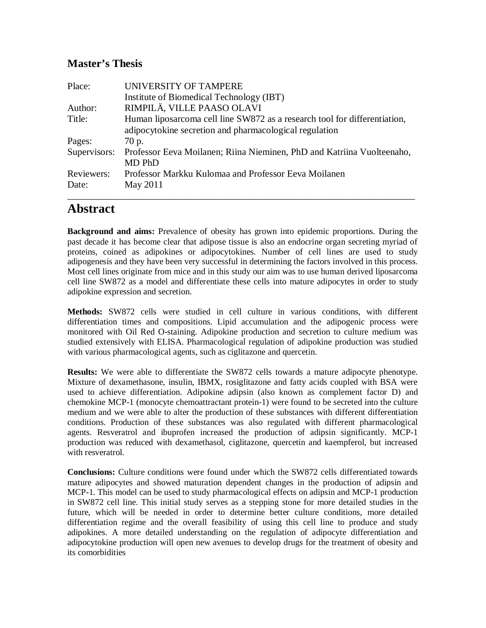#### **Master's Thesis**

| Place:       | UNIVERSITY OF TAMPERE                                                     |
|--------------|---------------------------------------------------------------------------|
|              | Institute of Biomedical Technology (IBT)                                  |
| Author:      | RIMPILÄ, VILLE PAASO OLAVI                                                |
| Title:       | Human liposarcoma cell line SW872 as a research tool for differentiation, |
|              | adipocytokine secretion and pharmacological regulation                    |
| Pages:       | 70 p.                                                                     |
| Supervisors: | Professor Eeva Moilanen; Riina Nieminen, PhD and Katriina Vuolteenaho,    |
|              | MD PhD                                                                    |
| Reviewers:   | Professor Markku Kulomaa and Professor Eeva Moilanen                      |
| Date:        | May 2011                                                                  |
|              |                                                                           |

### **Abstract**

**Background and aims:** Prevalence of obesity has grown into epidemic proportions. During the past decade it has become clear that adipose tissue is also an endocrine organ secreting myriad of proteins, coined as adipokines or adipocytokines. Number of cell lines are used to study adipogenesis and they have been very successful in determining the factors involved in this process. Most cell lines originate from mice and in this study our aim was to use human derived liposarcoma cell line SW872 as a model and differentiate these cells into mature adipocytes in order to study adipokine expression and secretion.

**Methods:** SW872 cells were studied in cell culture in various conditions, with different differentiation times and compositions. Lipid accumulation and the adipogenic process were monitored with Oil Red O-staining. Adipokine production and secretion to culture medium was studied extensively with ELISA. Pharmacological regulation of adipokine production was studied with various pharmacological agents, such as ciglitazone and quercetin.

**Results:** We were able to differentiate the SW872 cells towards a mature adipocyte phenotype. Mixture of dexamethasone, insulin, IBMX, rosiglitazone and fatty acids coupled with BSA were used to achieve differentiation. Adipokine adipsin (also known as complement factor D) and chemokine MCP-1 (monocyte chemoattractant protein-1) were found to be secreted into the culture medium and we were able to alter the production of these substances with different differentiation conditions. Production of these substances was also regulated with different pharmacological agents. Resveratrol and ibuprofen increased the production of adipsin significantly. MCP-1 production was reduced with dexamethasol, ciglitazone, quercetin and kaempferol, but increased with resveratrol.

**Conclusions:** Culture conditions were found under which the SW872 cells differentiated towards mature adipocytes and showed maturation dependent changes in the production of adipsin and MCP-1. This model can be used to study pharmacological effects on adipsin and MCP-1 production in SW872 cell line. This initial study serves as a stepping stone for more detailed studies in the future, which will be needed in order to determine better culture conditions, more detailed differentiation regime and the overall feasibility of using this cell line to produce and study adipokines. A more detailed understanding on the regulation of adipocyte differentiation and adipocytokine production will open new avenues to develop drugs for the treatment of obesity and its comorbidities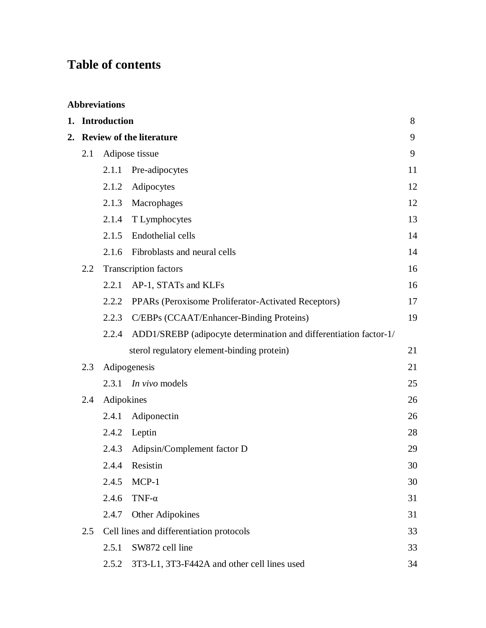## **Table of contents**

|  | <b>Abbreviations</b> |  |  |
|--|----------------------|--|--|
|  |                      |  |  |

|                                       | 1. Introduction |            |                                                                   | 8  |
|---------------------------------------|-----------------|------------|-------------------------------------------------------------------|----|
| <b>Review of the literature</b><br>2. |                 |            | 9                                                                 |    |
|                                       | 2.1             |            | Adipose tissue                                                    | 9  |
|                                       |                 | 2.1.1      | Pre-adipocytes                                                    | 11 |
|                                       |                 | 2.1.2      | Adipocytes                                                        | 12 |
|                                       |                 | 2.1.3      | Macrophages                                                       | 12 |
|                                       |                 | 2.1.4      | T Lymphocytes                                                     | 13 |
|                                       |                 | 2.1.5      | Endothelial cells                                                 | 14 |
|                                       |                 | 2.1.6      | Fibroblasts and neural cells                                      | 14 |
|                                       | $2.2\,$         |            | <b>Transcription factors</b>                                      | 16 |
|                                       |                 | 2.2.1      | AP-1, STATs and KLFs                                              | 16 |
|                                       |                 | 2.2.2      | PPARs (Peroxisome Proliferator-Activated Receptors)               | 17 |
|                                       |                 | 2.2.3      | C/EBPs (CCAAT/Enhancer-Binding Proteins)                          | 19 |
|                                       |                 | 2.2.4      | ADD1/SREBP (adipocyte determination and differentiation factor-1/ |    |
|                                       |                 |            | sterol regulatory element-binding protein)                        | 21 |
|                                       | 2.3             |            | Adipogenesis                                                      | 21 |
|                                       |                 |            | 2.3.1 <i>In vivo</i> models                                       | 25 |
|                                       | 2.4             | Adipokines |                                                                   | 26 |
|                                       |                 | 2.4.1      | Adiponectin                                                       | 26 |
|                                       |                 | 2.4.2      | Leptin                                                            | 28 |
|                                       |                 | 2.4.3      | Adipsin/Complement factor D                                       | 29 |
|                                       |                 | 2.4.4      | Resistin                                                          | 30 |
|                                       |                 | 2.4.5      | MCP-1                                                             | 30 |
|                                       |                 | 2.4.6      | TNF- $\alpha$                                                     | 31 |
|                                       |                 | 2.4.7      | Other Adipokines                                                  | 31 |
|                                       | 2.5             |            | Cell lines and differentiation protocols                          | 33 |
|                                       |                 | 2.5.1      | SW872 cell line                                                   | 33 |
|                                       |                 | 2.5.2      | 3T3-L1, 3T3-F442A and other cell lines used                       | 34 |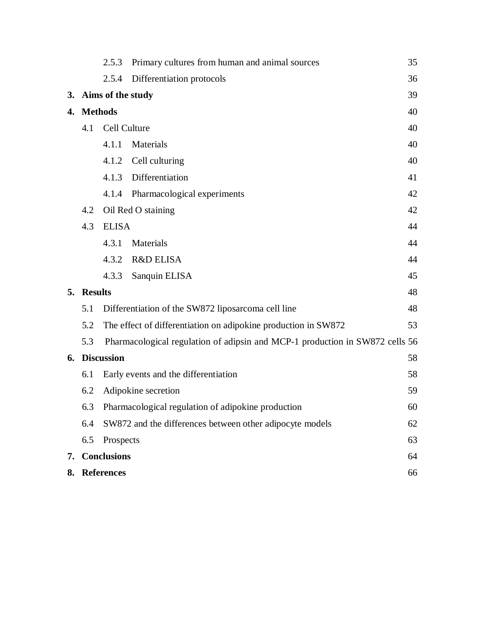|               |                   | 2.5.3                                                                        | Primary cultures from human and animal sources           | 35 |
|---------------|-------------------|------------------------------------------------------------------------------|----------------------------------------------------------|----|
|               |                   | 2.5.4                                                                        | Differentiation protocols                                | 36 |
|               |                   | 3. Aims of the study                                                         |                                                          | 39 |
|               | 4. Methods        | 40                                                                           |                                                          |    |
|               | 4.1               | Cell Culture                                                                 |                                                          |    |
|               |                   | 4.1.1                                                                        | Materials                                                | 40 |
|               |                   | 4.1.2                                                                        | Cell culturing                                           | 40 |
|               |                   | 4.1.3                                                                        | Differentiation                                          | 41 |
|               |                   |                                                                              | 4.1.4 Pharmacological experiments                        | 42 |
|               | 4.2               |                                                                              | Oil Red O staining                                       | 42 |
|               | 4.3               | <b>ELISA</b>                                                                 |                                                          | 44 |
|               |                   | 4.3.1                                                                        | Materials                                                | 44 |
|               |                   | 4.3.2                                                                        | <b>R&amp;D ELISA</b>                                     | 44 |
|               |                   | 4.3.3                                                                        | Sanquin ELISA                                            | 45 |
|               | 5. Results        |                                                                              |                                                          | 48 |
|               | 5.1               |                                                                              | Differentiation of the SW872 liposarcoma cell line       | 48 |
|               | 5.2               | The effect of differentiation on adipokine production in SW872               |                                                          | 53 |
|               | 5.3               | Pharmacological regulation of adipsin and MCP-1 production in SW872 cells 56 |                                                          |    |
| 6. Discussion |                   |                                                                              | 58                                                       |    |
|               | 6.1               |                                                                              | Early events and the differentiation                     | 58 |
|               | 6.2               |                                                                              | Adipokine secretion                                      | 59 |
|               | 6.3               |                                                                              | Pharmacological regulation of adipokine production       | 60 |
|               | 6.4               |                                                                              | SW872 and the differences between other adipocyte models | 62 |
|               | 6.5               | Prospects                                                                    |                                                          | 63 |
| 7.            |                   | <b>Conclusions</b>                                                           |                                                          | 64 |
| 8.            | <b>References</b> |                                                                              |                                                          | 66 |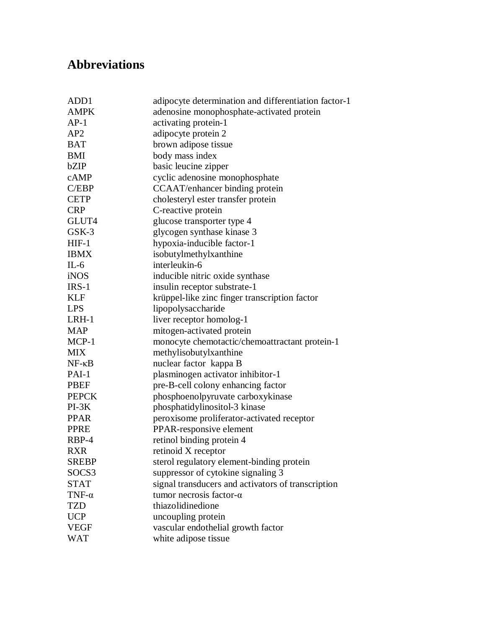## **Abbreviations**

| ADD1            | adipocyte determination and differentiation factor-1 |
|-----------------|------------------------------------------------------|
| <b>AMPK</b>     | adenosine monophosphate-activated protein            |
| $AP-1$          | activating protein-1                                 |
| AP2             | adipocyte protein 2                                  |
| <b>BAT</b>      | brown adipose tissue                                 |
| <b>BMI</b>      | body mass index                                      |
| bZIP            | basic leucine zipper                                 |
| cAMP            | cyclic adenosine monophosphate                       |
| C/EBP           | CCAAT/enhancer binding protein                       |
| <b>CETP</b>     | cholesteryl ester transfer protein                   |
| <b>CRP</b>      | C-reactive protein                                   |
| GLUT4           | glucose transporter type 4                           |
| GSK-3           | glycogen synthase kinase 3                           |
| $HIF-1$         | hypoxia-inducible factor-1                           |
| <b>IBMX</b>     | isobutylmethylxanthine                               |
| $IL-6$          | interleukin-6                                        |
| iNOS            | inducible nitric oxide synthase                      |
| $IRS-1$         | insulin receptor substrate-1                         |
| <b>KLF</b>      | krüppel-like zinc finger transcription factor        |
| <b>LPS</b>      | lipopolysaccharide                                   |
| LRH-1           | liver receptor homolog-1                             |
| <b>MAP</b>      | mitogen-activated protein                            |
| MCP-1           | monocyte chemotactic/chemoattractant protein-1       |
| <b>MIX</b>      | methylisobutylxanthine                               |
| $NF - \kappa B$ | nuclear factor kappa B                               |
| PAI-1           | plasminogen activator inhibitor-1                    |
| <b>PBEF</b>     | pre-B-cell colony enhancing factor                   |
| <b>PEPCK</b>    | phosphoenolpyruvate carboxykinase                    |
| $PI-3K$         | phosphatidylinositol-3 kinase                        |
| <b>PPAR</b>     | peroxisome proliferator-activated receptor           |
| <b>PPRE</b>     | PPAR-responsive element                              |
| RBP-4           | retinol binding protein 4                            |
| <b>RXR</b>      | retinoid X receptor                                  |
| <b>SREBP</b>    | sterol regulatory element-binding protein            |
| SOCS3           | suppressor of cytokine signaling 3                   |
| <b>STAT</b>     | signal transducers and activators of transcription   |
| TNF- $\alpha$   | tumor necrosis factor- $\alpha$                      |
| <b>TZD</b>      | thiazolidinedione                                    |
| <b>UCP</b>      | uncoupling protein                                   |
| <b>VEGF</b>     | vascular endothelial growth factor                   |
| <b>WAT</b>      | white adipose tissue                                 |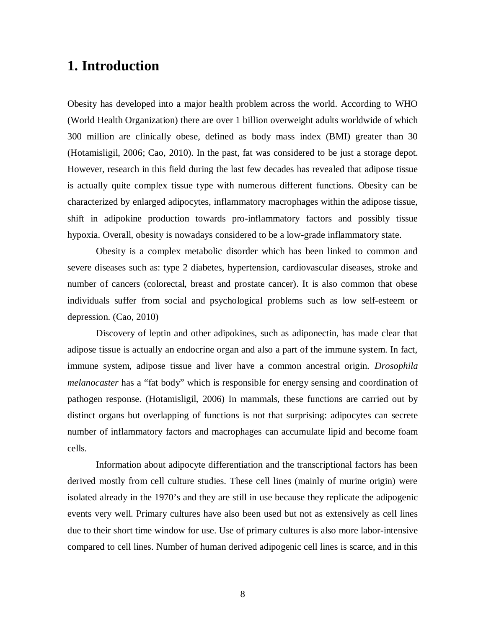## **1. Introduction**

Obesity has developed into a major health problem across the world. According to WHO (World Health Organization) there are over 1 billion overweight adults worldwide of which 300 million are clinically obese, defined as body mass index (BMI) greater than 30 (Hotamisligil, 2006; Cao, 2010). In the past, fat was considered to be just a storage depot. However, research in this field during the last few decades has revealed that adipose tissue is actually quite complex tissue type with numerous different functions. Obesity can be characterized by enlarged adipocytes, inflammatory macrophages within the adipose tissue, shift in adipokine production towards pro-inflammatory factors and possibly tissue hypoxia. Overall, obesity is nowadays considered to be a low-grade inflammatory state.

Obesity is a complex metabolic disorder which has been linked to common and severe diseases such as: type 2 diabetes, hypertension, cardiovascular diseases, stroke and number of cancers (colorectal, breast and prostate cancer). It is also common that obese individuals suffer from social and psychological problems such as low self-esteem or depression. (Cao, 2010)

Discovery of leptin and other adipokines, such as adiponectin, has made clear that adipose tissue is actually an endocrine organ and also a part of the immune system. In fact, immune system, adipose tissue and liver have a common ancestral origin. *Drosophila melanocaster* has a "fat body" which is responsible for energy sensing and coordination of pathogen response. (Hotamisligil, 2006) In mammals, these functions are carried out by distinct organs but overlapping of functions is not that surprising: adipocytes can secrete number of inflammatory factors and macrophages can accumulate lipid and become foam cells.

Information about adipocyte differentiation and the transcriptional factors has been derived mostly from cell culture studies. These cell lines (mainly of murine origin) were isolated already in the 1970's and they are still in use because they replicate the adipogenic events very well. Primary cultures have also been used but not as extensively as cell lines due to their short time window for use. Use of primary cultures is also more labor-intensive compared to cell lines. Number of human derived adipogenic cell lines is scarce, and in this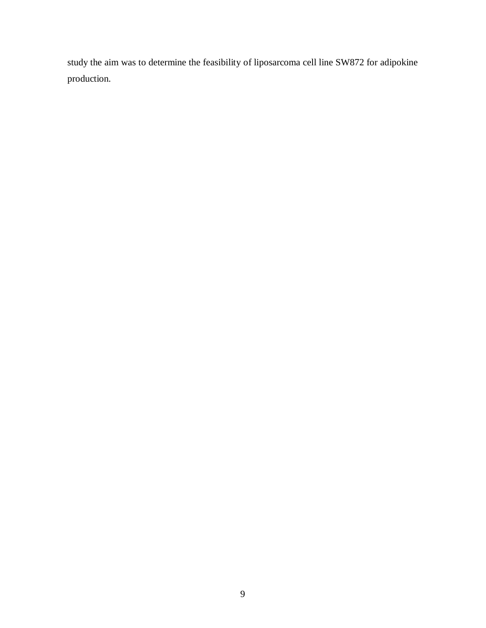study the aim was to determine the feasibility of liposarcoma cell line SW872 for adipokine production.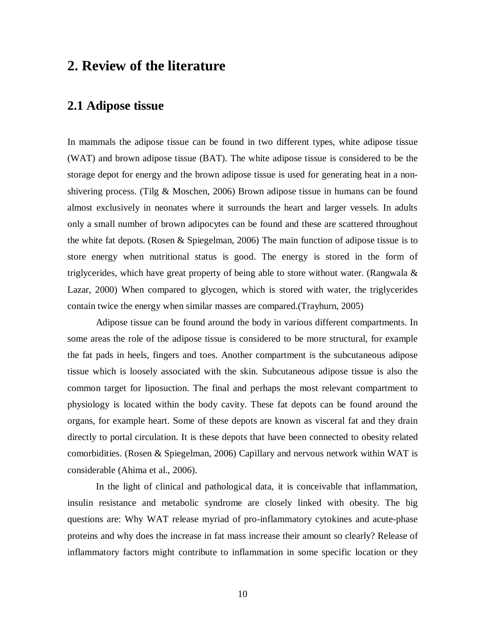## **2. Review of the literature**

### **2.1 Adipose tissue**

In mammals the adipose tissue can be found in two different types, white adipose tissue (WAT) and brown adipose tissue (BAT). The white adipose tissue is considered to be the storage depot for energy and the brown adipose tissue is used for generating heat in a nonshivering process. (Tilg & Moschen, 2006) Brown adipose tissue in humans can be found almost exclusively in neonates where it surrounds the heart and larger vessels. In adults only a small number of brown adipocytes can be found and these are scattered throughout the white fat depots. (Rosen & Spiegelman, 2006) The main function of adipose tissue is to store energy when nutritional status is good. The energy is stored in the form of triglycerides, which have great property of being able to store without water. (Rangwala  $\&$ Lazar, 2000) When compared to glycogen, which is stored with water, the triglycerides contain twice the energy when similar masses are compared.(Trayhurn, 2005)

Adipose tissue can be found around the body in various different compartments. In some areas the role of the adipose tissue is considered to be more structural, for example the fat pads in heels, fingers and toes. Another compartment is the subcutaneous adipose tissue which is loosely associated with the skin. Subcutaneous adipose tissue is also the common target for liposuction. The final and perhaps the most relevant compartment to physiology is located within the body cavity. These fat depots can be found around the organs, for example heart. Some of these depots are known as visceral fat and they drain directly to portal circulation. It is these depots that have been connected to obesity related comorbidities. (Rosen & Spiegelman, 2006) Capillary and nervous network within WAT is considerable (Ahima et al., 2006).

In the light of clinical and pathological data, it is conceivable that inflammation, insulin resistance and metabolic syndrome are closely linked with obesity. The big questions are: Why WAT release myriad of pro-inflammatory cytokines and acute-phase proteins and why does the increase in fat mass increase their amount so clearly? Release of inflammatory factors might contribute to inflammation in some specific location or they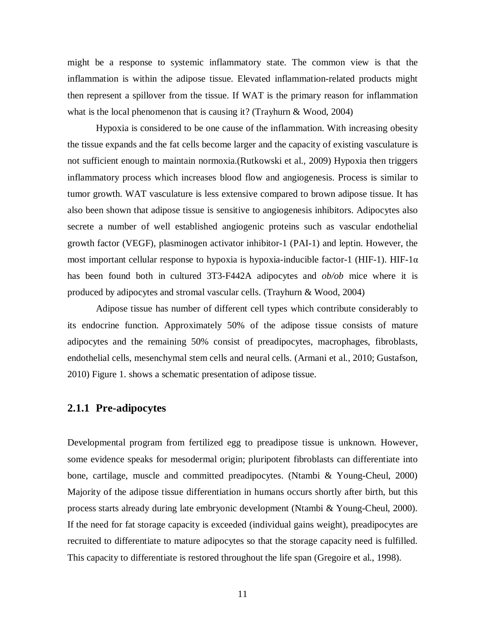might be a response to systemic inflammatory state. The common view is that the inflammation is within the adipose tissue. Elevated inflammation-related products might then represent a spillover from the tissue. If WAT is the primary reason for inflammation what is the local phenomenon that is causing it? (Trayhurn & Wood, 2004)

Hypoxia is considered to be one cause of the inflammation. With increasing obesity the tissue expands and the fat cells become larger and the capacity of existing vasculature is not sufficient enough to maintain normoxia.(Rutkowski et al., 2009) Hypoxia then triggers inflammatory process which increases blood flow and angiogenesis. Process is similar to tumor growth. WAT vasculature is less extensive compared to brown adipose tissue. It has also been shown that adipose tissue is sensitive to angiogenesis inhibitors. Adipocytes also secrete a number of well established angiogenic proteins such as vascular endothelial growth factor (VEGF), plasminogen activator inhibitor-1 (PAI-1) and leptin. However, the most important cellular response to hypoxia is hypoxia-inducible factor-1 (HIF-1). HIF-1 $\alpha$ has been found both in cultured 3T3-F442A adipocytes and *ob/ob* mice where it is produced by adipocytes and stromal vascular cells. (Trayhurn & Wood, 2004)

Adipose tissue has number of different cell types which contribute considerably to its endocrine function. Approximately 50% of the adipose tissue consists of mature adipocytes and the remaining 50% consist of preadipocytes, macrophages, fibroblasts, endothelial cells, mesenchymal stem cells and neural cells. (Armani et al., 2010; Gustafson, 2010) Figure 1. shows a schematic presentation of adipose tissue.

#### **2.1.1 Pre-adipocytes**

Developmental program from fertilized egg to preadipose tissue is unknown. However, some evidence speaks for mesodermal origin; pluripotent fibroblasts can differentiate into bone, cartilage, muscle and committed preadipocytes. (Ntambi & Young-Cheul, 2000) Majority of the adipose tissue differentiation in humans occurs shortly after birth, but this process starts already during late embryonic development (Ntambi & Young-Cheul, 2000). If the need for fat storage capacity is exceeded (individual gains weight), preadipocytes are recruited to differentiate to mature adipocytes so that the storage capacity need is fulfilled. This capacity to differentiate is restored throughout the life span (Gregoire et al., 1998).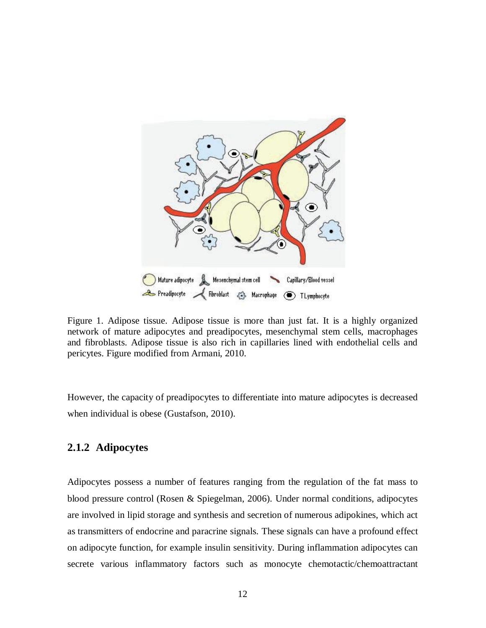

Figure 1. Adipose tissue. Adipose tissue is more than just fat. It is a highly organized network of mature adipocytes and preadipocytes, mesenchymal stem cells, macrophages and fibroblasts. Adipose tissue is also rich in capillaries lined with endothelial cells and pericytes. Figure modified from Armani, 2010.

However, the capacity of preadipocytes to differentiate into mature adipocytes is decreased when individual is obese (Gustafson, 2010).

#### **2.1.2 Adipocytes**

Adipocytes possess a number of features ranging from the regulation of the fat mass to blood pressure control (Rosen & Spiegelman, 2006). Under normal conditions, adipocytes are involved in lipid storage and synthesis and secretion of numerous adipokines, which act as transmitters of endocrine and paracrine signals. These signals can have a profound effect on adipocyte function, for example insulin sensitivity. During inflammation adipocytes can secrete various inflammatory factors such as monocyte chemotactic/chemoattractant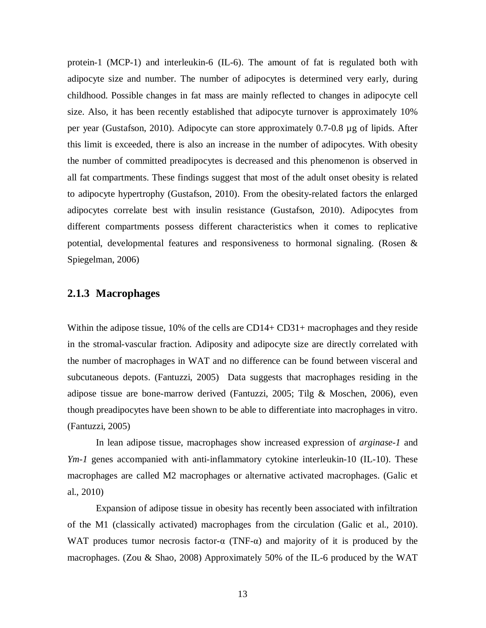protein-1 (MCP-1) and interleukin-6 (IL-6). The amount of fat is regulated both with adipocyte size and number. The number of adipocytes is determined very early, during childhood. Possible changes in fat mass are mainly reflected to changes in adipocyte cell size. Also, it has been recently established that adipocyte turnover is approximately 10% per year (Gustafson, 2010). Adipocyte can store approximately 0.7-0.8 µg of lipids. After this limit is exceeded, there is also an increase in the number of adipocytes. With obesity the number of committed preadipocytes is decreased and this phenomenon is observed in all fat compartments. These findings suggest that most of the adult onset obesity is related to adipocyte hypertrophy (Gustafson, 2010). From the obesity-related factors the enlarged adipocytes correlate best with insulin resistance (Gustafson, 2010). Adipocytes from different compartments possess different characteristics when it comes to replicative potential, developmental features and responsiveness to hormonal signaling. (Rosen & Spiegelman, 2006)

#### **2.1.3 Macrophages**

Within the adipose tissue, 10% of the cells are CD14+ CD31+ macrophages and they reside in the stromal-vascular fraction. Adiposity and adipocyte size are directly correlated with the number of macrophages in WAT and no difference can be found between visceral and subcutaneous depots. (Fantuzzi, 2005) Data suggests that macrophages residing in the adipose tissue are bone-marrow derived (Fantuzzi, 2005; Tilg & Moschen, 2006), even though preadipocytes have been shown to be able to differentiate into macrophages in vitro. (Fantuzzi, 2005)

In lean adipose tissue, macrophages show increased expression of *arginase-1* and *Ym-1* genes accompanied with anti-inflammatory cytokine interleukin-10 (IL-10). These macrophages are called M2 macrophages or alternative activated macrophages. (Galic et al., 2010)

Expansion of adipose tissue in obesity has recently been associated with infiltration of the M1 (classically activated) macrophages from the circulation (Galic et al., 2010). WAT produces tumor necrosis factor- $\alpha$  (TNF- $\alpha$ ) and majority of it is produced by the macrophages. (Zou & Shao, 2008) Approximately 50% of the IL-6 produced by the WAT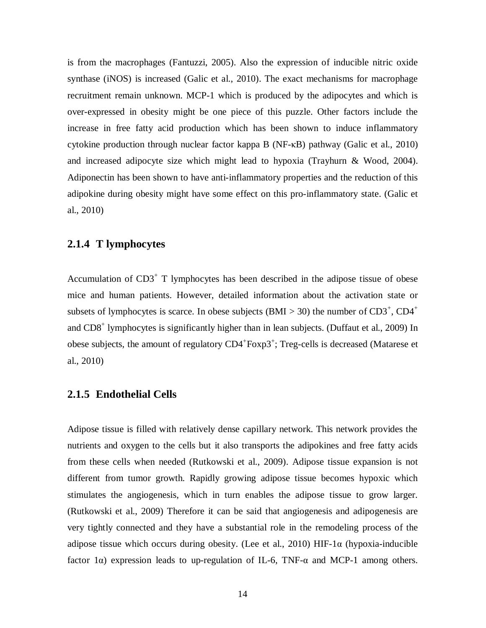is from the macrophages (Fantuzzi, 2005). Also the expression of inducible nitric oxide synthase (iNOS) is increased (Galic et al., 2010). The exact mechanisms for macrophage recruitment remain unknown. MCP-1 which is produced by the adipocytes and which is over-expressed in obesity might be one piece of this puzzle. Other factors include the increase in free fatty acid production which has been shown to induce inflammatory cytokine production through nuclear factor kappa B ( $NF-R$ B) pathway (Galic et al., 2010) and increased adipocyte size which might lead to hypoxia (Trayhurn & Wood, 2004). Adiponectin has been shown to have anti-inflammatory properties and the reduction of this adipokine during obesity might have some effect on this pro-inflammatory state. (Galic et al., 2010)

#### **2.1.4 T lymphocytes**

Accumulation of  $CD3<sup>+</sup>$  T lymphocytes has been described in the adipose tissue of obese mice and human patients. However, detailed information about the activation state or subsets of lymphocytes is scarce. In obese subjects (BMI > 30) the number of  $CD3^+$ ,  $CD4^+$ and CD8<sup>+</sup> lymphocytes is significantly higher than in lean subjects. (Duffaut et al., 2009) In obese subjects, the amount of regulatory CD4<sup>+</sup>Foxp3<sup>+</sup>; Treg-cells is decreased (Matarese et al., 2010)

#### **2.1.5 Endothelial Cells**

Adipose tissue is filled with relatively dense capillary network. This network provides the nutrients and oxygen to the cells but it also transports the adipokines and free fatty acids from these cells when needed (Rutkowski et al., 2009). Adipose tissue expansion is not different from tumor growth. Rapidly growing adipose tissue becomes hypoxic which stimulates the angiogenesis, which in turn enables the adipose tissue to grow larger. (Rutkowski et al., 2009) Therefore it can be said that angiogenesis and adipogenesis are very tightly connected and they have a substantial role in the remodeling process of the adipose tissue which occurs during obesity. (Lee et al., 2010) HIF-1 $\alpha$  (hypoxia-inducible factor 1 $\alpha$ ) expression leads to up-regulation of IL-6, TNF- $\alpha$  and MCP-1 among others.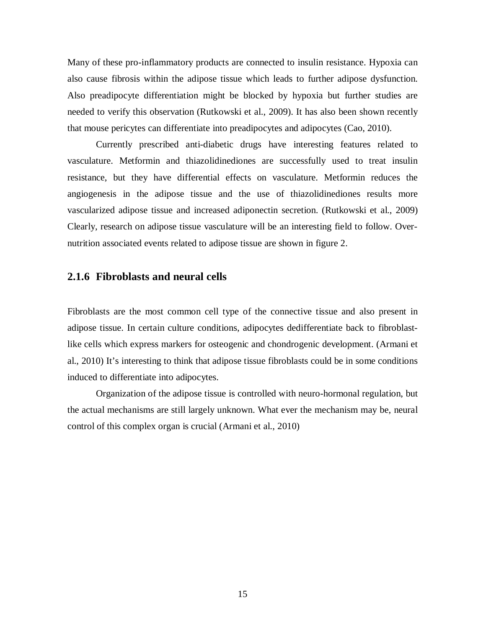Many of these pro-inflammatory products are connected to insulin resistance. Hypoxia can also cause fibrosis within the adipose tissue which leads to further adipose dysfunction. Also preadipocyte differentiation might be blocked by hypoxia but further studies are needed to verify this observation (Rutkowski et al., 2009). It has also been shown recently that mouse pericytes can differentiate into preadipocytes and adipocytes (Cao, 2010).

Currently prescribed anti-diabetic drugs have interesting features related to vasculature. Metformin and thiazolidinediones are successfully used to treat insulin resistance, but they have differential effects on vasculature. Metformin reduces the angiogenesis in the adipose tissue and the use of thiazolidinediones results more vascularized adipose tissue and increased adiponectin secretion. (Rutkowski et al., 2009) Clearly, research on adipose tissue vasculature will be an interesting field to follow. Overnutrition associated events related to adipose tissue are shown in figure 2.

#### **2.1.6 Fibroblasts and neural cells**

Fibroblasts are the most common cell type of the connective tissue and also present in adipose tissue. In certain culture conditions, adipocytes dedifferentiate back to fibroblastlike cells which express markers for osteogenic and chondrogenic development. (Armani et al., 2010) It's interesting to think that adipose tissue fibroblasts could be in some conditions induced to differentiate into adipocytes.

Organization of the adipose tissue is controlled with neuro-hormonal regulation, but the actual mechanisms are still largely unknown. What ever the mechanism may be, neural control of this complex organ is crucial (Armani et al., 2010)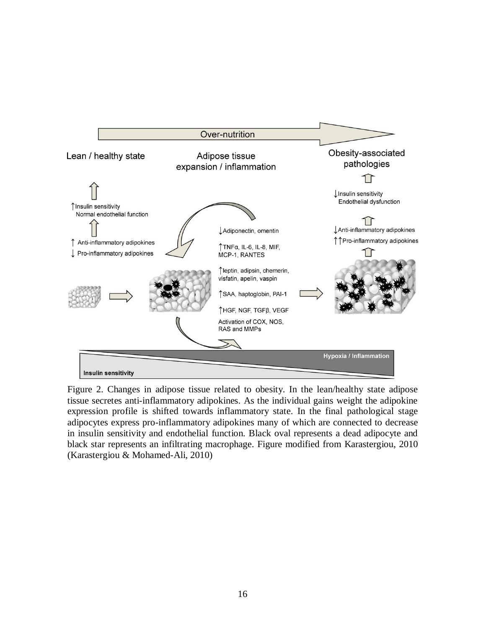

Figure 2. Changes in adipose tissue related to obesity. In the lean/healthy state adipose tissue secretes anti-inflammatory adipokines. As the individual gains weight the adipokine expression profile is shifted towards inflammatory state. In the final pathological stage adipocytes express pro-inflammatory adipokines many of which are connected to decrease in insulin sensitivity and endothelial function. Black oval represents a dead adipocyte and black star represents an infiltrating macrophage. Figure modified from Karastergiou, 2010 (Karastergiou & Mohamed-Ali, 2010)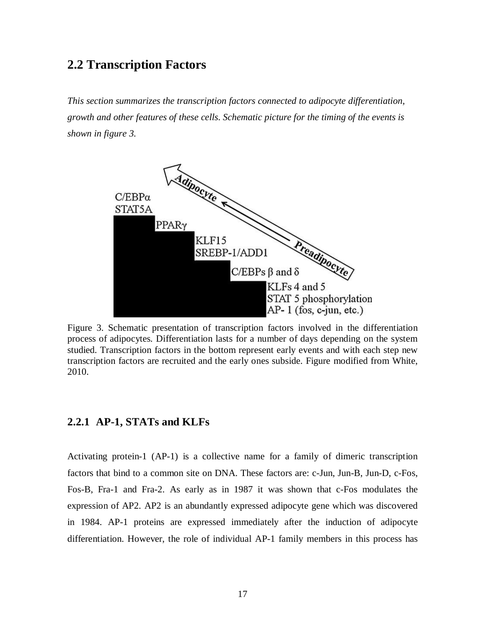### **2.2 Transcription Factors**

*This section summarizes the transcription factors connected to adipocyte differentiation, growth and other features of these cells. Schematic picture for the timing of the events is shown in figure 3.*



Figure 3. Schematic presentation of transcription factors involved in the differentiation process of adipocytes. Differentiation lasts for a number of days depending on the system studied. Transcription factors in the bottom represent early events and with each step new transcription factors are recruited and the early ones subside. Figure modified from White, 2010.

#### **2.2.1 AP-1, STATs and KLFs**

Activating protein-1 (AP-1) is a collective name for a family of dimeric transcription factors that bind to a common site on DNA. These factors are: c-Jun, Jun-B, Jun-D, c-Fos, Fos-B, Fra-1 and Fra-2. As early as in 1987 it was shown that c-Fos modulates the expression of AP2. AP2 is an abundantly expressed adipocyte gene which was discovered in 1984. AP-1 proteins are expressed immediately after the induction of adipocyte differentiation. However, the role of individual AP-1 family members in this process has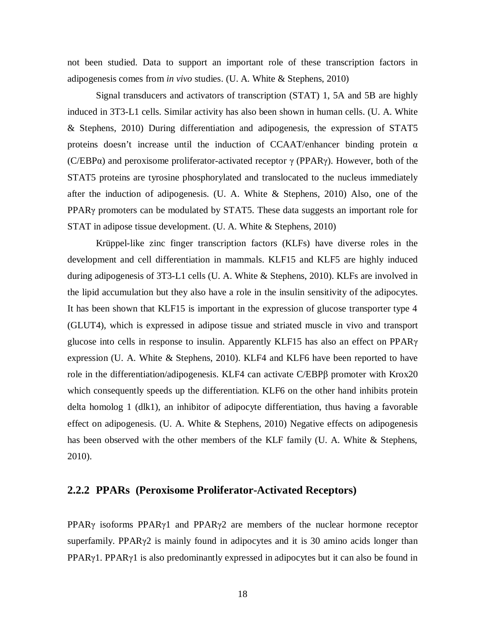not been studied. Data to support an important role of these transcription factors in adipogenesis comes from *in vivo* studies. (U. A. White & Stephens, 2010)

Signal transducers and activators of transcription (STAT) 1, 5A and 5B are highly induced in 3T3-L1 cells. Similar activity has also been shown in human cells. (U. A. White & Stephens, 2010) During differentiation and adipogenesis, the expression of STAT5 proteins doesn't increase until the induction of CCAAT/enhancer binding protein  $\alpha$ (C/EBP $\alpha$ ) and peroxisome proliferator-activated receptor  $\gamma$  (PPAR $\gamma$ ). However, both of the STAT5 proteins are tyrosine phosphorylated and translocated to the nucleus immediately after the induction of adipogenesis. (U. A. White & Stephens, 2010) Also, one of the PPAR<sub>Y</sub> promoters can be modulated by STAT5. These data suggests an important role for STAT in adipose tissue development. (U. A. White & Stephens, 2010)

Krüppel-like zinc finger transcription factors (KLFs) have diverse roles in the development and cell differentiation in mammals. KLF15 and KLF5 are highly induced during adipogenesis of 3T3-L1 cells (U. A. White & Stephens, 2010). KLFs are involved in the lipid accumulation but they also have a role in the insulin sensitivity of the adipocytes. It has been shown that KLF15 is important in the expression of glucose transporter type 4 (GLUT4), which is expressed in adipose tissue and striated muscle in vivo and transport glucose into cells in response to insulin. Apparently KLF15 has also an effect on PPAR $\gamma$ expression (U. A. White & Stephens, 2010). KLF4 and KLF6 have been reported to have role in the differentiation/adipogenesis. KLF4 can activate C/EBP $\beta$  promoter with Krox20 which consequently speeds up the differentiation. KLF6 on the other hand inhibits protein delta homolog 1 (dlk1), an inhibitor of adipocyte differentiation, thus having a favorable effect on adipogenesis. (U. A. White & Stephens, 2010) Negative effects on adipogenesis has been observed with the other members of the KLF family (U. A. White & Stephens, 2010).

#### **2.2.2 PPARs (Peroxisome Proliferator-Activated Receptors)**

PPAR $\gamma$  isoforms PPAR $\gamma$ 1 and PPAR $\gamma$ 2 are members of the nuclear hormone receptor superfamily. PPAR $\gamma$ 2 is mainly found in adipocytes and it is 30 amino acids longer than  $PPARy1$ . PPAR<sub>Y</sub>1 is also predominantly expressed in adipocytes but it can also be found in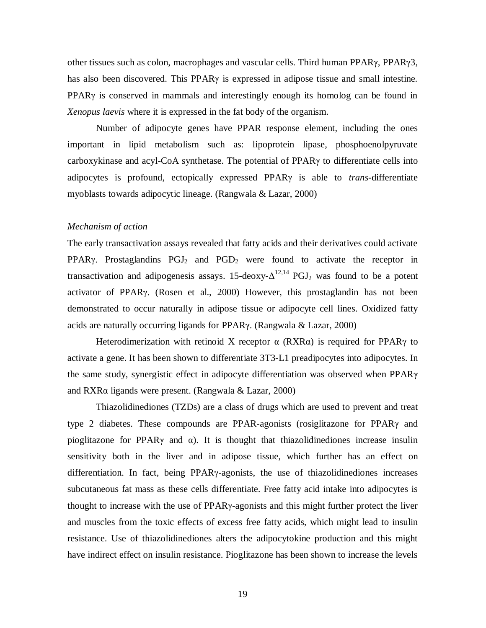other tissues such as colon, macrophages and vascular cells. Third human PPARȖ, PPARȖ3, has also been discovered. This  $PPAR\gamma$  is expressed in adipose tissue and small intestine. PPAR $\gamma$  is conserved in mammals and interestingly enough its homolog can be found in *Xenopus laevis* where it is expressed in the fat body of the organism.

Number of adipocyte genes have PPAR response element, including the ones important in lipid metabolism such as: lipoprotein lipase, phosphoenolpyruvate carboxykinase and acyl-CoA synthetase. The potential of PPAR $\gamma$  to differentiate cells into adipocytes is profound, ectopically expressed PPAR<sub>Y</sub> is able to *trans*-differentiate myoblasts towards adipocytic lineage. (Rangwala & Lazar, 2000)

#### *Mechanism of action*

The early transactivation assays revealed that fatty acids and their derivatives could activate PPAR $\gamma$ . Prostaglandins PGJ<sub>2</sub> and PGD<sub>2</sub> were found to activate the receptor in transactivation and adipogenesis assays. 15-deoxy- $\Delta^{12,14}$  PGJ<sub>2</sub> was found to be a potent activator of PPAR<sub>Y</sub>. (Rosen et al., 2000) However, this prostaglandin has not been demonstrated to occur naturally in adipose tissue or adipocyte cell lines. Oxidized fatty acids are naturally occurring ligands for PPAR $\gamma$ . (Rangwala & Lazar, 2000)

Heterodimerization with retinoid X receptor  $\alpha$  (RXR $\alpha$ ) is required for PPAR $\gamma$  to activate a gene. It has been shown to differentiate 3T3-L1 preadipocytes into adipocytes. In the same study, synergistic effect in adipocyte differentiation was observed when  $PPAR\gamma$ and RXR $\alpha$  ligands were present. (Rangwala & Lazar, 2000)

Thiazolidinediones (TZDs) are a class of drugs which are used to prevent and treat type 2 diabetes. These compounds are PPAR-agonists (rosiglitazone for PPAR $\gamma$  and pioglitazone for PPAR $\gamma$  and  $\alpha$ ). It is thought that thiazolidinediones increase insulin sensitivity both in the liver and in adipose tissue, which further has an effect on differentiation. In fact, being PPAR<sub>Y</sub>-agonists, the use of thiazolidinediones increases subcutaneous fat mass as these cells differentiate. Free fatty acid intake into adipocytes is thought to increase with the use of  $PPAR\gamma$ -agonists and this might further protect the liver and muscles from the toxic effects of excess free fatty acids, which might lead to insulin resistance. Use of thiazolidinediones alters the adipocytokine production and this might have indirect effect on insulin resistance. Pioglitazone has been shown to increase the levels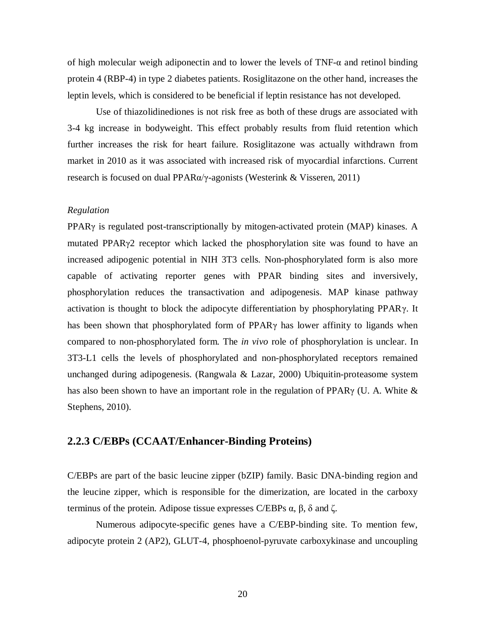of high molecular weigh adiponectin and to lower the levels of  $TNF-\alpha$  and retinol binding protein 4 (RBP-4) in type 2 diabetes patients. Rosiglitazone on the other hand, increases the leptin levels, which is considered to be beneficial if leptin resistance has not developed.

Use of thiazolidinediones is not risk free as both of these drugs are associated with 3-4 kg increase in bodyweight. This effect probably results from fluid retention which further increases the risk for heart failure. Rosiglitazone was actually withdrawn from market in 2010 as it was associated with increased risk of myocardial infarctions. Current research is focused on dual PPAR $\alpha/\gamma$ -agonists (Westerink & Visseren, 2011)

#### *Regulation*

PPAR<sub>Y</sub> is regulated post-transcriptionally by mitogen-activated protein (MAP) kinases. A mutated PPAR<sub>Y</sub>2 receptor which lacked the phosphorylation site was found to have an increased adipogenic potential in NIH 3T3 cells. Non-phosphorylated form is also more capable of activating reporter genes with PPAR binding sites and inversively, phosphorylation reduces the transactivation and adipogenesis. MAP kinase pathway activation is thought to block the adipocyte differentiation by phosphorylating PPAR $\gamma$ . It has been shown that phosphorylated form of  $PPAR\gamma$  has lower affinity to ligands when compared to non-phosphorylated form. The *in vivo* role of phosphorylation is unclear. In 3T3-L1 cells the levels of phosphorylated and non-phosphorylated receptors remained unchanged during adipogenesis. (Rangwala & Lazar, 2000) Ubiquitin-proteasome system has also been shown to have an important role in the regulation of PPAR $\gamma$  (U. A. White  $\&$ Stephens, 2010).

#### **2.2.3 C/EBPs (CCAAT/Enhancer-Binding Proteins)**

C/EBPs are part of the basic leucine zipper (bZIP) family. Basic DNA-binding region and the leucine zipper, which is responsible for the dimerization, are located in the carboxy terminus of the protein. Adipose tissue expresses C/EBPs  $\alpha$ ,  $\beta$ ,  $\delta$  and  $\zeta$ .

Numerous adipocyte-specific genes have a C/EBP-binding site. To mention few, adipocyte protein 2 (AP2), GLUT-4, phosphoenol-pyruvate carboxykinase and uncoupling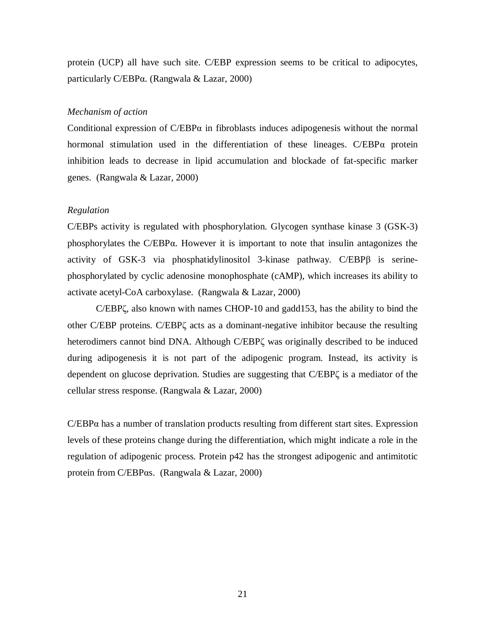protein (UCP) all have such site. C/EBP expression seems to be critical to adipocytes, particularly C/EBP $\alpha$ . (Rangwala & Lazar, 2000)

#### *Mechanism of action*

Conditional expression of  $C/EBP\alpha$  in fibroblasts induces adipogenesis without the normal hormonal stimulation used in the differentiation of these lineages.  $C/EBP\alpha$  protein inhibition leads to decrease in lipid accumulation and blockade of fat-specific marker genes. (Rangwala & Lazar, 2000)

#### *Regulation*

C/EBPs activity is regulated with phosphorylation. Glycogen synthase kinase 3 (GSK-3) phosphorylates the  $C/EBP\alpha$ . However it is important to note that insulin antagonizes the activity of GSK-3 via phosphatidylinositol 3-kinase pathway.  $C/EBP\beta$  is serinephosphorylated by cyclic adenosine monophosphate (cAMP), which increases its ability to activate acetyl-CoA carboxylase. (Rangwala & Lazar, 2000)

C/EBP $\zeta$ , also known with names CHOP-10 and gadd153, has the ability to bind the other C/EBP proteins. C/EBP $\zeta$  acts as a dominant-negative inhibitor because the resulting heterodimers cannot bind DNA. Although C/EBP $\zeta$  was originally described to be induced during adipogenesis it is not part of the adipogenic program. Instead, its activity is dependent on glucose deprivation. Studies are suggesting that C/EBP $\zeta$  is a mediator of the cellular stress response. (Rangwala & Lazar, 2000)

 $C/EBP\alpha$  has a number of translation products resulting from different start sites. Expression levels of these proteins change during the differentiation, which might indicate a role in the regulation of adipogenic process. Protein p42 has the strongest adipogenic and antimitotic protein from C/EBP $\alpha$ s. (Rangwala & Lazar, 2000)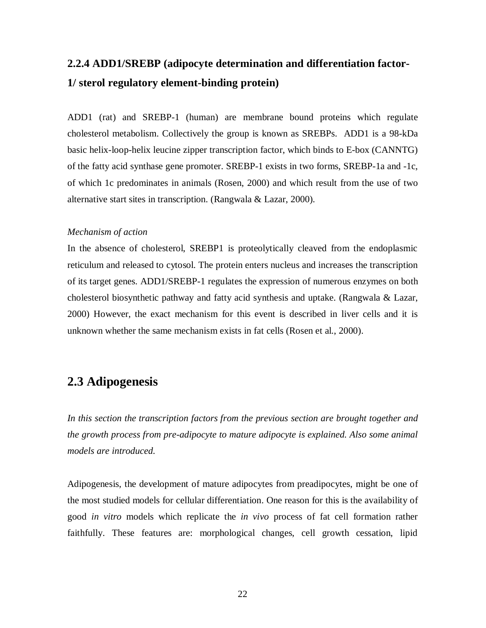## **2.2.4 ADD1/SREBP (adipocyte determination and differentiation factor-1/ sterol regulatory element-binding protein)**

ADD1 (rat) and SREBP-1 (human) are membrane bound proteins which regulate cholesterol metabolism. Collectively the group is known as SREBPs. ADD1 is a 98-kDa basic helix-loop-helix leucine zipper transcription factor, which binds to E-box (CANNTG) of the fatty acid synthase gene promoter. SREBP-1 exists in two forms, SREBP-1a and -1c, of which 1c predominates in animals (Rosen, 2000) and which result from the use of two alternative start sites in transcription. (Rangwala & Lazar, 2000).

#### *Mechanism of action*

In the absence of cholesterol, SREBP1 is proteolytically cleaved from the endoplasmic reticulum and released to cytosol. The protein enters nucleus and increases the transcription of its target genes. ADD1/SREBP-1 regulates the expression of numerous enzymes on both cholesterol biosynthetic pathway and fatty acid synthesis and uptake. (Rangwala & Lazar, 2000) However, the exact mechanism for this event is described in liver cells and it is unknown whether the same mechanism exists in fat cells (Rosen et al., 2000).

## **2.3 Adipogenesis**

*In this section the transcription factors from the previous section are brought together and the growth process from pre-adipocyte to mature adipocyte is explained. Also some animal models are introduced.*

Adipogenesis, the development of mature adipocytes from preadipocytes, might be one of the most studied models for cellular differentiation. One reason for this is the availability of good *in vitro* models which replicate the *in vivo* process of fat cell formation rather faithfully. These features are: morphological changes, cell growth cessation, lipid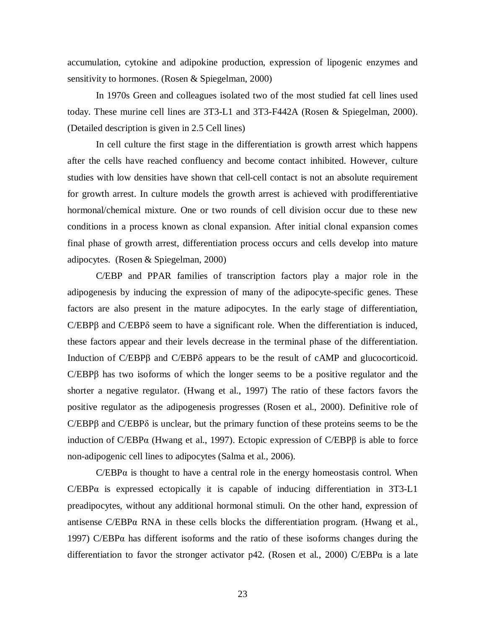accumulation, cytokine and adipokine production, expression of lipogenic enzymes and sensitivity to hormones. (Rosen & Spiegelman, 2000)

In 1970s Green and colleagues isolated two of the most studied fat cell lines used today. These murine cell lines are 3T3-L1 and 3T3-F442A (Rosen & Spiegelman, 2000). (Detailed description is given in 2.5 Cell lines)

In cell culture the first stage in the differentiation is growth arrest which happens after the cells have reached confluency and become contact inhibited. However, culture studies with low densities have shown that cell-cell contact is not an absolute requirement for growth arrest. In culture models the growth arrest is achieved with prodifferentiative hormonal/chemical mixture. One or two rounds of cell division occur due to these new conditions in a process known as clonal expansion. After initial clonal expansion comes final phase of growth arrest, differentiation process occurs and cells develop into mature adipocytes. (Rosen & Spiegelman, 2000)

C/EBP and PPAR families of transcription factors play a major role in the adipogenesis by inducing the expression of many of the adipocyte-specific genes. These factors are also present in the mature adipocytes. In the early stage of differentiation,  $C/EBP\beta$  and  $C/EBP\delta$  seem to have a significant role. When the differentiation is induced, these factors appear and their levels decrease in the terminal phase of the differentiation. Induction of  $C/EBP\beta$  and  $C/EBP\delta$  appears to be the result of cAMP and glucocorticoid.  $C/EBP\beta$  has two isoforms of which the longer seems to be a positive regulator and the shorter a negative regulator. (Hwang et al., 1997) The ratio of these factors favors the positive regulator as the adipogenesis progresses (Rosen et al., 2000). Definitive role of  $C/EBP\beta$  and  $C/EBP\delta$  is unclear, but the primary function of these proteins seems to be the induction of C/EBP $\alpha$  (Hwang et al., 1997). Ectopic expression of C/EBP $\beta$  is able to force non-adipogenic cell lines to adipocytes (Salma et al., 2006).

 $C/EBP\alpha$  is thought to have a central role in the energy homeostasis control. When  $C/EBP\alpha$  is expressed ectopically it is capable of inducing differentiation in 3T3-L1 preadipocytes, without any additional hormonal stimuli. On the other hand, expression of antisense  $C/EBP\alpha$  RNA in these cells blocks the differentiation program. (Hwang et al., 1997) C/EBP $\alpha$  has different isoforms and the ratio of these isoforms changes during the differentiation to favor the stronger activator p42. (Rosen et al., 2000) C/EBP $\alpha$  is a late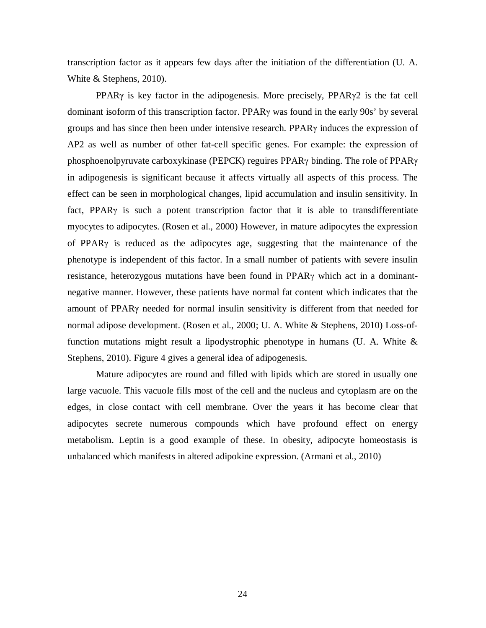transcription factor as it appears few days after the initiation of the differentiation (U. A. White & Stephens, 2010).

PPAR $\gamma$  is key factor in the adipogenesis. More precisely, PPAR $\gamma$ 2 is the fat cell dominant isoform of this transcription factor. PPAR<sub>Y</sub> was found in the early 90s' by several groups and has since then been under intensive research. PPAR $\gamma$  induces the expression of AP2 as well as number of other fat-cell specific genes. For example: the expression of phosphoenolpyruvate carboxykinase (PEPCK) reguires PPAR $\gamma$  binding. The role of PPAR $\gamma$ in adipogenesis is significant because it affects virtually all aspects of this process. The effect can be seen in morphological changes, lipid accumulation and insulin sensitivity. In fact, PPAR $\gamma$  is such a potent transcription factor that it is able to transdifferentiate myocytes to adipocytes. (Rosen et al., 2000) However, in mature adipocytes the expression of PPAR $\gamma$  is reduced as the adipocytes age, suggesting that the maintenance of the phenotype is independent of this factor. In a small number of patients with severe insulin resistance, heterozygous mutations have been found in  $PPAR\gamma$  which act in a dominantnegative manner. However, these patients have normal fat content which indicates that the amount of PPAR<sub>Y</sub> needed for normal insulin sensitivity is different from that needed for normal adipose development. (Rosen et al., 2000; U. A. White & Stephens, 2010) Loss-offunction mutations might result a lipodystrophic phenotype in humans (U. A. White  $\&$ Stephens, 2010). Figure 4 gives a general idea of adipogenesis.

Mature adipocytes are round and filled with lipids which are stored in usually one large vacuole. This vacuole fills most of the cell and the nucleus and cytoplasm are on the edges, in close contact with cell membrane. Over the years it has become clear that adipocytes secrete numerous compounds which have profound effect on energy metabolism. Leptin is a good example of these. In obesity, adipocyte homeostasis is unbalanced which manifests in altered adipokine expression. (Armani et al., 2010)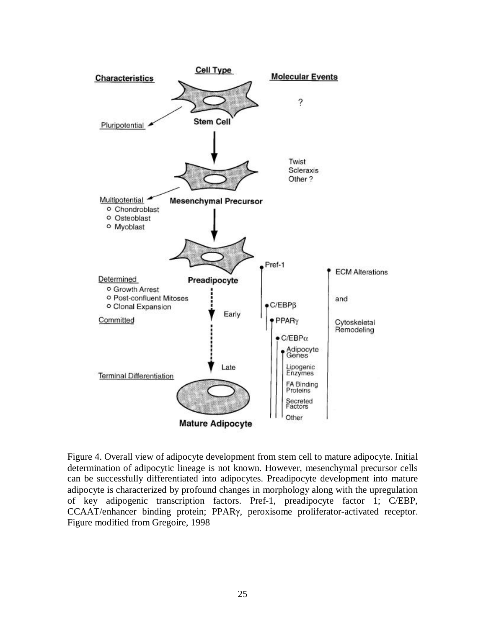

Figure 4. Overall view of adipocyte development from stem cell to mature adipocyte. Initial determination of adipocytic lineage is not known. However, mesenchymal precursor cells can be successfully differentiated into adipocytes. Preadipocyte development into mature adipocyte is characterized by profound changes in morphology along with the upregulation of key adipogenic transcription factors. Pref-1, preadipocyte factor 1; C/EBP, CCAAT/enhancer binding protein; PPAR $\gamma$ , peroxisome proliferator-activated receptor. Figure modified from Gregoire, 1998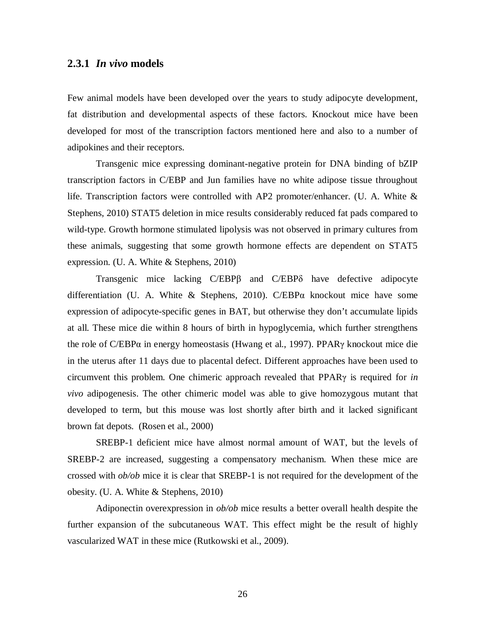#### **2.3.1** *In vivo* **models**

Few animal models have been developed over the years to study adipocyte development, fat distribution and developmental aspects of these factors. Knockout mice have been developed for most of the transcription factors mentioned here and also to a number of adipokines and their receptors.

Transgenic mice expressing dominant-negative protein for DNA binding of bZIP transcription factors in C/EBP and Jun families have no white adipose tissue throughout life. Transcription factors were controlled with AP2 promoter/enhancer. (U. A. White & Stephens, 2010) STAT5 deletion in mice results considerably reduced fat pads compared to wild-type. Growth hormone stimulated lipolysis was not observed in primary cultures from these animals, suggesting that some growth hormone effects are dependent on STAT5 expression. (U. A. White & Stephens, 2010)

Transgenic mice lacking  $C/EBP\beta$  and  $C/EBP\delta$  have defective adipocyte differentiation (U. A. White & Stephens, 2010). C/EBP $\alpha$  knockout mice have some expression of adipocyte-specific genes in BAT, but otherwise they don't accumulate lipids at all. These mice die within 8 hours of birth in hypoglycemia, which further strengthens the role of C/EBP $\alpha$  in energy homeostasis (Hwang et al., 1997). PPAR $\gamma$  knockout mice die in the uterus after 11 days due to placental defect. Different approaches have been used to circumvent this problem. One chimeric approach revealed that PPAR<sub>Y</sub> is required for *in vivo* adipogenesis. The other chimeric model was able to give homozygous mutant that developed to term, but this mouse was lost shortly after birth and it lacked significant brown fat depots. (Rosen et al., 2000)

SREBP-1 deficient mice have almost normal amount of WAT, but the levels of SREBP-2 are increased, suggesting a compensatory mechanism. When these mice are crossed with *ob/ob* mice it is clear that SREBP-1 is not required for the development of the obesity. (U. A. White & Stephens, 2010)

Adiponectin overexpression in *ob/ob* mice results a better overall health despite the further expansion of the subcutaneous WAT. This effect might be the result of highly vascularized WAT in these mice (Rutkowski et al., 2009).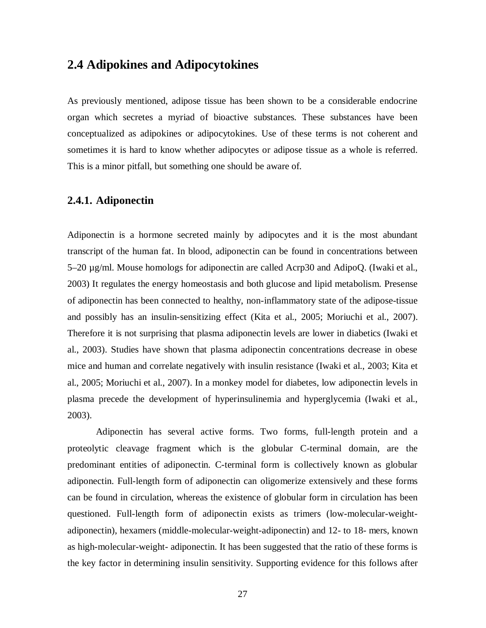### **2.4 Adipokines and Adipocytokines**

As previously mentioned, adipose tissue has been shown to be a considerable endocrine organ which secretes a myriad of bioactive substances. These substances have been conceptualized as adipokines or adipocytokines. Use of these terms is not coherent and sometimes it is hard to know whether adipocytes or adipose tissue as a whole is referred. This is a minor pitfall, but something one should be aware of.

#### **2.4.1. Adiponectin**

Adiponectin is a hormone secreted mainly by adipocytes and it is the most abundant transcript of the human fat. In blood, adiponectin can be found in concentrations between 5–20 µg/ml. Mouse homologs for adiponectin are called Acrp30 and AdipoQ. (Iwaki et al., 2003) It regulates the energy homeostasis and both glucose and lipid metabolism. Presense of adiponectin has been connected to healthy, non-inflammatory state of the adipose-tissue and possibly has an insulin-sensitizing effect (Kita et al., 2005; Moriuchi et al., 2007). Therefore it is not surprising that plasma adiponectin levels are lower in diabetics (Iwaki et al., 2003). Studies have shown that plasma adiponectin concentrations decrease in obese mice and human and correlate negatively with insulin resistance (Iwaki et al., 2003; Kita et al., 2005; Moriuchi et al., 2007). In a monkey model for diabetes, low adiponectin levels in plasma precede the development of hyperinsulinemia and hyperglycemia (Iwaki et al., 2003).

Adiponectin has several active forms. Two forms, full-length protein and a proteolytic cleavage fragment which is the globular C-terminal domain, are the predominant entities of adiponectin. C-terminal form is collectively known as globular adiponectin. Full-length form of adiponectin can oligomerize extensively and these forms can be found in circulation, whereas the existence of globular form in circulation has been questioned. Full-length form of adiponectin exists as trimers (low-molecular-weightadiponectin), hexamers (middle-molecular-weight-adiponectin) and 12- to 18- mers, known as high-molecular-weight- adiponectin. It has been suggested that the ratio of these forms is the key factor in determining insulin sensitivity. Supporting evidence for this follows after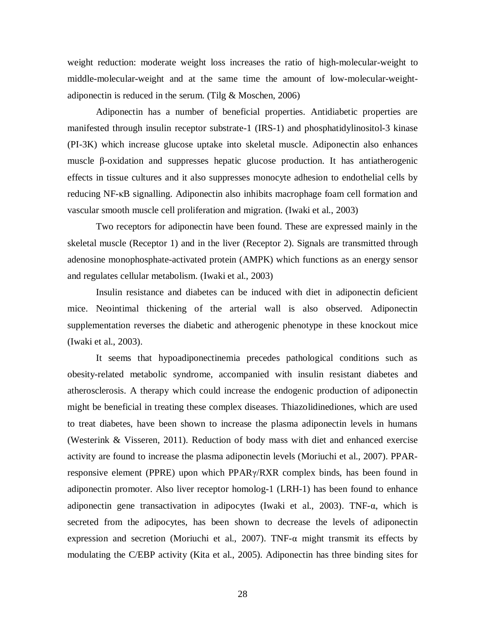weight reduction: moderate weight loss increases the ratio of high-molecular-weight to middle-molecular-weight and at the same time the amount of low-molecular-weightadiponectin is reduced in the serum. (Tilg & Moschen, 2006)

Adiponectin has a number of beneficial properties. Antidiabetic properties are manifested through insulin receptor substrate-1 (IRS-1) and phosphatidylinositol-3 kinase (PI-3K) which increase glucose uptake into skeletal muscle. Adiponectin also enhances muscle  $\beta$ -oxidation and suppresses hepatic glucose production. It has antiatherogenic effects in tissue cultures and it also suppresses monocyte adhesion to endothelial cells by reducing NF-KB signalling. Adiponectin also inhibits macrophage foam cell formation and vascular smooth muscle cell proliferation and migration. (Iwaki et al., 2003)

Two receptors for adiponectin have been found. These are expressed mainly in the skeletal muscle (Receptor 1) and in the liver (Receptor 2). Signals are transmitted through adenosine monophosphate-activated protein (AMPK) which functions as an energy sensor and regulates cellular metabolism. (Iwaki et al., 2003)

Insulin resistance and diabetes can be induced with diet in adiponectin deficient mice. Neointimal thickening of the arterial wall is also observed. Adiponectin supplementation reverses the diabetic and atherogenic phenotype in these knockout mice (Iwaki et al., 2003).

It seems that hypoadiponectinemia precedes pathological conditions such as obesity-related metabolic syndrome, accompanied with insulin resistant diabetes and atherosclerosis. A therapy which could increase the endogenic production of adiponectin might be beneficial in treating these complex diseases. Thiazolidinediones, which are used to treat diabetes, have been shown to increase the plasma adiponectin levels in humans (Westerink & Visseren, 2011). Reduction of body mass with diet and enhanced exercise activity are found to increase the plasma adiponectin levels (Moriuchi et al., 2007). PPARresponsive element (PPRE) upon which  $PPAR\gamma/RXR$  complex binds, has been found in adiponectin promoter. Also liver receptor homolog-1 (LRH-1) has been found to enhance adiponectin gene transactivation in adipocytes (Iwaki et al., 2003). TNF- $\alpha$ , which is secreted from the adipocytes, has been shown to decrease the levels of adiponectin expression and secretion (Moriuchi et al., 2007). TNF- $\alpha$  might transmit its effects by modulating the C/EBP activity (Kita et al., 2005). Adiponectin has three binding sites for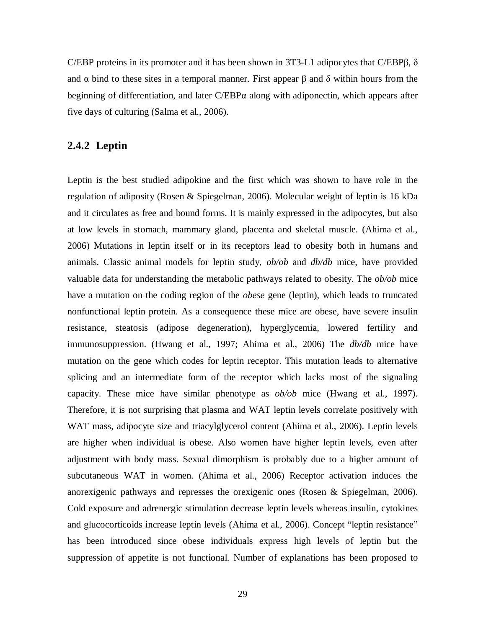C/EBP proteins in its promoter and it has been shown in 3T3-L1 adipocytes that C/EBP $\beta$ ,  $\delta$ and  $\alpha$  bind to these sites in a temporal manner. First appear  $\beta$  and  $\delta$  within hours from the beginning of differentiation, and later  $C/EBP\alpha$  along with adiponectin, which appears after five days of culturing (Salma et al., 2006).

#### **2.4.2 Leptin**

Leptin is the best studied adipokine and the first which was shown to have role in the regulation of adiposity (Rosen & Spiegelman, 2006). Molecular weight of leptin is 16 kDa and it circulates as free and bound forms. It is mainly expressed in the adipocytes, but also at low levels in stomach, mammary gland, placenta and skeletal muscle. (Ahima et al., 2006) Mutations in leptin itself or in its receptors lead to obesity both in humans and animals. Classic animal models for leptin study, *ob/ob* and *db/db* mice, have provided valuable data for understanding the metabolic pathways related to obesity. The *ob/ob* mice have a mutation on the coding region of the *obese* gene (leptin), which leads to truncated nonfunctional leptin protein. As a consequence these mice are obese, have severe insulin resistance, steatosis (adipose degeneration), hyperglycemia, lowered fertility and immunosuppression. (Hwang et al., 1997; Ahima et al., 2006) The *db/db* mice have mutation on the gene which codes for leptin receptor. This mutation leads to alternative splicing and an intermediate form of the receptor which lacks most of the signaling capacity. These mice have similar phenotype as *ob/ob* mice (Hwang et al., 1997). Therefore, it is not surprising that plasma and WAT leptin levels correlate positively with WAT mass, adipocyte size and triacylglycerol content (Ahima et al., 2006). Leptin levels are higher when individual is obese. Also women have higher leptin levels, even after adjustment with body mass. Sexual dimorphism is probably due to a higher amount of subcutaneous WAT in women. (Ahima et al., 2006) Receptor activation induces the anorexigenic pathways and represses the orexigenic ones (Rosen & Spiegelman, 2006). Cold exposure and adrenergic stimulation decrease leptin levels whereas insulin, cytokines and glucocorticoids increase leptin levels (Ahima et al., 2006). Concept "leptin resistance" has been introduced since obese individuals express high levels of leptin but the suppression of appetite is not functional. Number of explanations has been proposed to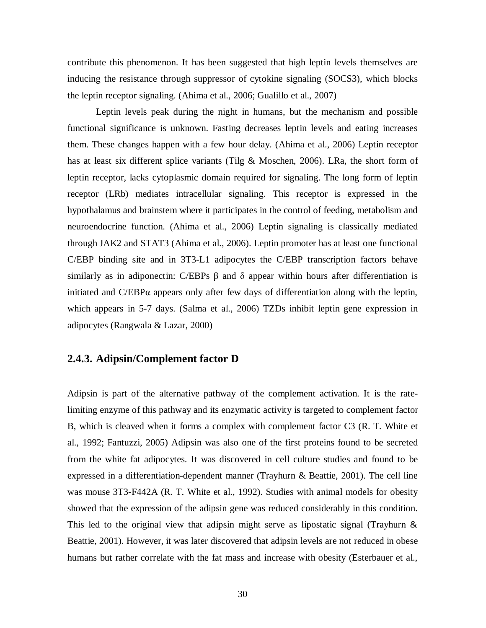contribute this phenomenon. It has been suggested that high leptin levels themselves are inducing the resistance through suppressor of cytokine signaling (SOCS3), which blocks the leptin receptor signaling. (Ahima et al., 2006; Gualillo et al., 2007)

Leptin levels peak during the night in humans, but the mechanism and possible functional significance is unknown. Fasting decreases leptin levels and eating increases them. These changes happen with a few hour delay. (Ahima et al., 2006) Leptin receptor has at least six different splice variants (Tilg & Moschen, 2006). LRa, the short form of leptin receptor, lacks cytoplasmic domain required for signaling. The long form of leptin receptor (LRb) mediates intracellular signaling. This receptor is expressed in the hypothalamus and brainstem where it participates in the control of feeding, metabolism and neuroendocrine function. (Ahima et al., 2006) Leptin signaling is classically mediated through JAK2 and STAT3 (Ahima et al., 2006). Leptin promoter has at least one functional C/EBP binding site and in 3T3-L1 adipocytes the C/EBP transcription factors behave similarly as in adiponectin: C/EBPs  $\beta$  and  $\delta$  appear within hours after differentiation is initiated and  $C/EBP\alpha$  appears only after few days of differentiation along with the leptin, which appears in 5-7 days. (Salma et al., 2006) TZDs inhibit leptin gene expression in adipocytes (Rangwala & Lazar, 2000)

#### **2.4.3. Adipsin/Complement factor D**

Adipsin is part of the alternative pathway of the complement activation. It is the ratelimiting enzyme of this pathway and its enzymatic activity is targeted to complement factor B, which is cleaved when it forms a complex with complement factor C3 (R. T. White et al., 1992; Fantuzzi, 2005) Adipsin was also one of the first proteins found to be secreted from the white fat adipocytes. It was discovered in cell culture studies and found to be expressed in a differentiation-dependent manner (Trayhurn & Beattie, 2001). The cell line was mouse 3T3-F442A (R. T. White et al., 1992). Studies with animal models for obesity showed that the expression of the adipsin gene was reduced considerably in this condition. This led to the original view that adipsin might serve as lipostatic signal (Trayhurn  $\&$ Beattie, 2001). However, it was later discovered that adipsin levels are not reduced in obese humans but rather correlate with the fat mass and increase with obesity (Esterbauer et al.,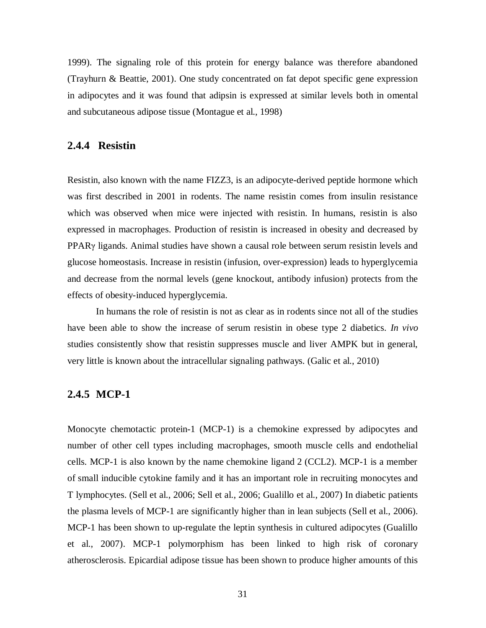1999). The signaling role of this protein for energy balance was therefore abandoned (Trayhurn & Beattie, 2001). One study concentrated on fat depot specific gene expression in adipocytes and it was found that adipsin is expressed at similar levels both in omental and subcutaneous adipose tissue (Montague et al., 1998)

#### **2.4.4 Resistin**

Resistin, also known with the name FIZZ3, is an adipocyte-derived peptide hormone which was first described in 2001 in rodents. The name resistin comes from insulin resistance which was observed when mice were injected with resistin. In humans, resistin is also expressed in macrophages. Production of resistin is increased in obesity and decreased by  $PPAR\gamma$  ligands. Animal studies have shown a causal role between serum resistin levels and glucose homeostasis. Increase in resistin (infusion, over-expression) leads to hyperglycemia and decrease from the normal levels (gene knockout, antibody infusion) protects from the effects of obesity-induced hyperglycemia.

In humans the role of resistin is not as clear as in rodents since not all of the studies have been able to show the increase of serum resistin in obese type 2 diabetics. *In vivo* studies consistently show that resistin suppresses muscle and liver AMPK but in general, very little is known about the intracellular signaling pathways. (Galic et al., 2010)

#### **2.4.5 MCP-1**

Monocyte chemotactic protein-1 (MCP-1) is a chemokine expressed by adipocytes and number of other cell types including macrophages, smooth muscle cells and endothelial cells. MCP-1 is also known by the name chemokine ligand 2 (CCL2). MCP-1 is a member of small inducible cytokine family and it has an important role in recruiting monocytes and T lymphocytes. (Sell et al., 2006; Sell et al., 2006; Gualillo et al., 2007) In diabetic patients the plasma levels of MCP-1 are significantly higher than in lean subjects (Sell et al., 2006). MCP-1 has been shown to up-regulate the leptin synthesis in cultured adipocytes (Gualillo et al., 2007). MCP-1 polymorphism has been linked to high risk of coronary atherosclerosis. Epicardial adipose tissue has been shown to produce higher amounts of this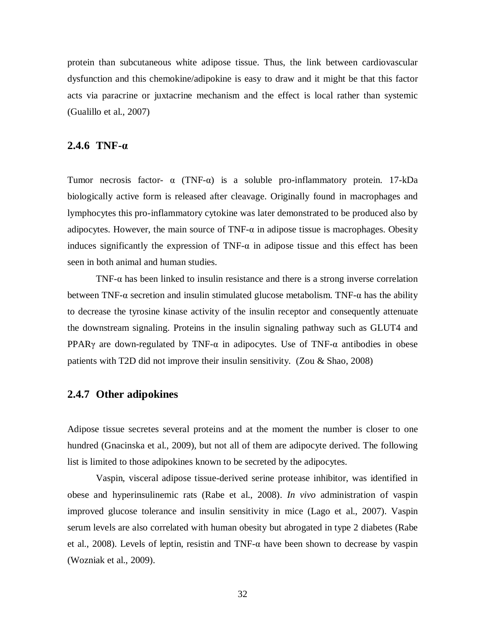protein than subcutaneous white adipose tissue. Thus, the link between cardiovascular dysfunction and this chemokine/adipokine is easy to draw and it might be that this factor acts via paracrine or juxtacrine mechanism and the effect is local rather than systemic (Gualillo et al., 2007)

#### **2.4.6 TNF-Į**

Tumor necrosis factor-  $\alpha$  (TNF- $\alpha$ ) is a soluble pro-inflammatory protein. 17-kDa biologically active form is released after cleavage. Originally found in macrophages and lymphocytes this pro-inflammatory cytokine was later demonstrated to be produced also by adipocytes. However, the main source of TNF- $\alpha$  in adipose tissue is macrophages. Obesity induces significantly the expression of  $TNF-\alpha$  in adipose tissue and this effect has been seen in both animal and human studies.

TNF- $\alpha$  has been linked to insulin resistance and there is a strong inverse correlation between TNF- $\alpha$  secretion and insulin stimulated glucose metabolism. TNF- $\alpha$  has the ability to decrease the tyrosine kinase activity of the insulin receptor and consequently attenuate the downstream signaling. Proteins in the insulin signaling pathway such as GLUT4 and PPAR $\gamma$  are down-regulated by TNF- $\alpha$  in adipocytes. Use of TNF- $\alpha$  antibodies in obese patients with T2D did not improve their insulin sensitivity. (Zou & Shao, 2008)

#### **2.4.7 Other adipokines**

Adipose tissue secretes several proteins and at the moment the number is closer to one hundred (Gnacinska et al., 2009), but not all of them are adipocyte derived. The following list is limited to those adipokines known to be secreted by the adipocytes.

Vaspin, visceral adipose tissue-derived serine protease inhibitor, was identified in obese and hyperinsulinemic rats (Rabe et al., 2008). *In vivo* administration of vaspin improved glucose tolerance and insulin sensitivity in mice (Lago et al., 2007). Vaspin serum levels are also correlated with human obesity but abrogated in type 2 diabetes (Rabe et al., 2008). Levels of leptin, resistin and TNF- $\alpha$  have been shown to decrease by vaspin (Wozniak et al., 2009).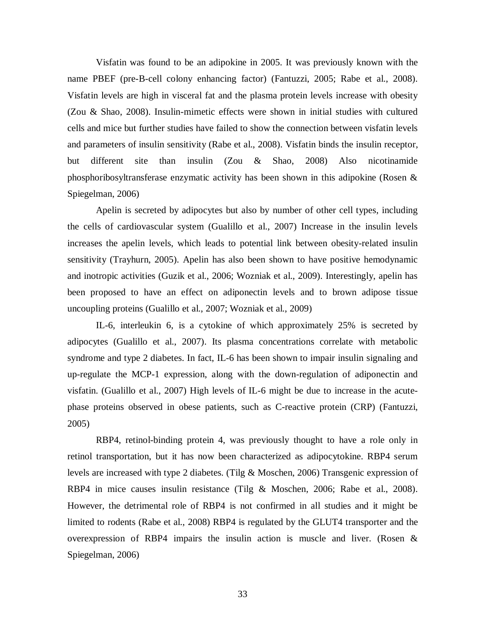Visfatin was found to be an adipokine in 2005. It was previously known with the name PBEF (pre-B-cell colony enhancing factor) (Fantuzzi, 2005; Rabe et al., 2008). Visfatin levels are high in visceral fat and the plasma protein levels increase with obesity (Zou & Shao, 2008). Insulin-mimetic effects were shown in initial studies with cultured cells and mice but further studies have failed to show the connection between visfatin levels and parameters of insulin sensitivity (Rabe et al., 2008). Visfatin binds the insulin receptor, but different site than insulin (Zou & Shao, 2008) Also nicotinamide phosphoribosyltransferase enzymatic activity has been shown in this adipokine (Rosen & Spiegelman, 2006)

Apelin is secreted by adipocytes but also by number of other cell types, including the cells of cardiovascular system (Gualillo et al., 2007) Increase in the insulin levels increases the apelin levels, which leads to potential link between obesity-related insulin sensitivity (Trayhurn, 2005). Apelin has also been shown to have positive hemodynamic and inotropic activities (Guzik et al., 2006; Wozniak et al., 2009). Interestingly, apelin has been proposed to have an effect on adiponectin levels and to brown adipose tissue uncoupling proteins (Gualillo et al., 2007; Wozniak et al., 2009)

IL-6, interleukin 6, is a cytokine of which approximately 25% is secreted by adipocytes (Gualillo et al., 2007). Its plasma concentrations correlate with metabolic syndrome and type 2 diabetes. In fact, IL-6 has been shown to impair insulin signaling and up-regulate the MCP-1 expression, along with the down-regulation of adiponectin and visfatin. (Gualillo et al., 2007) High levels of IL-6 might be due to increase in the acutephase proteins observed in obese patients, such as C-reactive protein (CRP) (Fantuzzi, 2005)

RBP4, retinol-binding protein 4, was previously thought to have a role only in retinol transportation, but it has now been characterized as adipocytokine. RBP4 serum levels are increased with type 2 diabetes. (Tilg & Moschen, 2006) Transgenic expression of RBP4 in mice causes insulin resistance (Tilg & Moschen, 2006; Rabe et al., 2008). However, the detrimental role of RBP4 is not confirmed in all studies and it might be limited to rodents (Rabe et al., 2008) RBP4 is regulated by the GLUT4 transporter and the overexpression of RBP4 impairs the insulin action is muscle and liver. (Rosen & Spiegelman, 2006)

33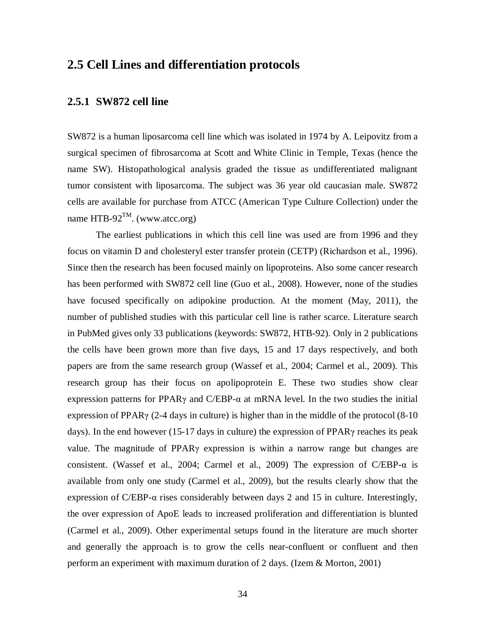## **2.5 Cell Lines and differentiation protocols**

#### **2.5.1 SW872 cell line**

SW872 is a human liposarcoma cell line which was isolated in 1974 by A. Leipovitz from a surgical specimen of fibrosarcoma at Scott and White Clinic in Temple, Texas (hence the name SW). Histopathological analysis graded the tissue as undifferentiated malignant tumor consistent with liposarcoma. The subject was 36 year old caucasian male. SW872 cells are available for purchase from ATCC (American Type Culture Collection) under the name HTB-92<sup>TM</sup>. (www.atcc.org)

The earliest publications in which this cell line was used are from 1996 and they focus on vitamin D and cholesteryl ester transfer protein (CETP) (Richardson et al., 1996). Since then the research has been focused mainly on lipoproteins. Also some cancer research has been performed with SW872 cell line (Guo et al., 2008). However, none of the studies have focused specifically on adipokine production. At the moment (May, 2011), the number of published studies with this particular cell line is rather scarce. Literature search in PubMed gives only 33 publications (keywords: SW872, HTB-92). Only in 2 publications the cells have been grown more than five days, 15 and 17 days respectively, and both papers are from the same research group (Wassef et al., 2004; Carmel et al., 2009). This research group has their focus on apolipoprotein E. These two studies show clear expression patterns for PPAR $\gamma$  and C/EBP- $\alpha$  at mRNA level. In the two studies the initial expression of PPAR $\gamma$  (2-4 days in culture) is higher than in the middle of the protocol (8-10 days). In the end however (15-17 days in culture) the expression of PPAR $\gamma$  reaches its peak value. The magnitude of  $PPAR\gamma$  expression is within a narrow range but changes are consistent. (Wassef et al., 2004; Carmel et al., 2009) The expression of  $C/EBP-\alpha$  is available from only one study (Carmel et al., 2009), but the results clearly show that the expression of  $C/EBP-\alpha$  rises considerably between days 2 and 15 in culture. Interestingly, the over expression of ApoE leads to increased proliferation and differentiation is blunted (Carmel et al., 2009). Other experimental setups found in the literature are much shorter and generally the approach is to grow the cells near-confluent or confluent and then perform an experiment with maximum duration of 2 days. (Izem & Morton, 2001)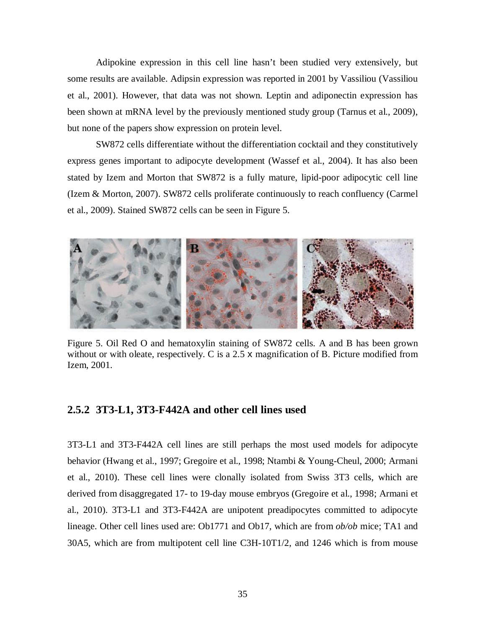Adipokine expression in this cell line hasn't been studied very extensively, but some results are available. Adipsin expression was reported in 2001 by Vassiliou (Vassiliou et al., 2001). However, that data was not shown. Leptin and adiponectin expression has been shown at mRNA level by the previously mentioned study group (Tarnus et al., 2009), but none of the papers show expression on protein level.

SW872 cells differentiate without the differentiation cocktail and they constitutively express genes important to adipocyte development (Wassef et al., 2004). It has also been stated by Izem and Morton that SW872 is a fully mature, lipid-poor adipocytic cell line (Izem & Morton, 2007). SW872 cells proliferate continuously to reach confluency (Carmel et al., 2009). Stained SW872 cells can be seen in Figure 5.



Figure 5. Oil Red O and hematoxylin staining of SW872 cells. A and B has been grown without or with oleate, respectively. C is a 2.5  $\times$  magnification of B. Picture modified from Izem, 2001.

#### **2.5.2 3T3-L1, 3T3-F442A and other cell lines used**

3T3-L1 and 3T3-F442A cell lines are still perhaps the most used models for adipocyte behavior (Hwang et al., 1997; Gregoire et al., 1998; Ntambi & Young-Cheul, 2000; Armani et al., 2010). These cell lines were clonally isolated from Swiss 3T3 cells, which are derived from disaggregated 17- to 19-day mouse embryos (Gregoire et al., 1998; Armani et al., 2010). 3T3-L1 and 3T3-F442A are unipotent preadipocytes committed to adipocyte lineage. Other cell lines used are: Ob1771 and Ob17, which are from *ob/ob* mice; TA1 and 30A5, which are from multipotent cell line C3H-10T1/2, and 1246 which is from mouse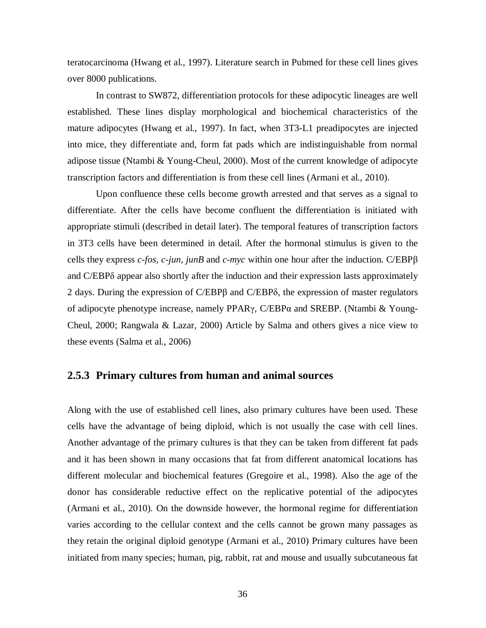teratocarcinoma (Hwang et al., 1997). Literature search in Pubmed for these cell lines gives over 8000 publications.

In contrast to SW872, differentiation protocols for these adipocytic lineages are well established. These lines display morphological and biochemical characteristics of the mature adipocytes (Hwang et al., 1997). In fact, when 3T3-L1 preadipocytes are injected into mice, they differentiate and, form fat pads which are indistinguishable from normal adipose tissue (Ntambi & Young-Cheul, 2000). Most of the current knowledge of adipocyte transcription factors and differentiation is from these cell lines (Armani et al., 2010).

Upon confluence these cells become growth arrested and that serves as a signal to differentiate. After the cells have become confluent the differentiation is initiated with appropriate stimuli (described in detail later). The temporal features of transcription factors in 3T3 cells have been determined in detail. After the hormonal stimulus is given to the cells they express  $c$ -*fos, c-jun, junB* and  $c$ -*myc* within one hour after the induction. C/EBP $\beta$ and C/EBP $\delta$  appear also shortly after the induction and their expression lasts approximately 2 days. During the expression of  $C/EBP\beta$  and  $C/EBP\delta$ , the expression of master regulators of adipocyte phenotype increase, namely PPAR<sub>Y</sub>, C/EBPa and SREBP. (Ntambi & Young-Cheul, 2000; Rangwala & Lazar, 2000) Article by Salma and others gives a nice view to these events (Salma et al., 2006)

#### **2.5.3 Primary cultures from human and animal sources**

Along with the use of established cell lines, also primary cultures have been used. These cells have the advantage of being diploid, which is not usually the case with cell lines. Another advantage of the primary cultures is that they can be taken from different fat pads and it has been shown in many occasions that fat from different anatomical locations has different molecular and biochemical features (Gregoire et al., 1998). Also the age of the donor has considerable reductive effect on the replicative potential of the adipocytes (Armani et al., 2010). On the downside however, the hormonal regime for differentiation varies according to the cellular context and the cells cannot be grown many passages as they retain the original diploid genotype (Armani et al., 2010) Primary cultures have been initiated from many species; human, pig, rabbit, rat and mouse and usually subcutaneous fat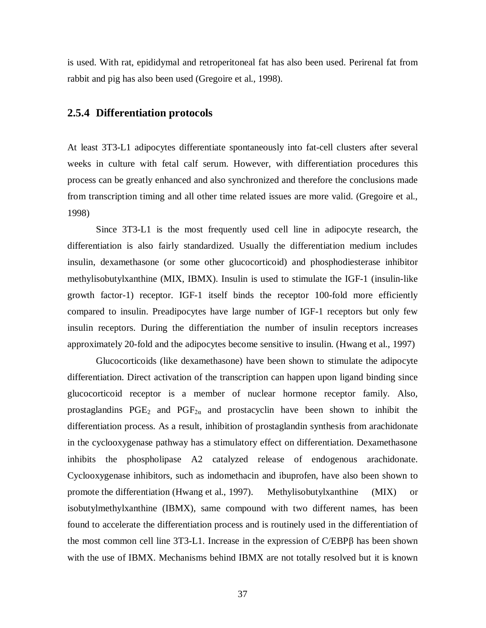is used. With rat, epididymal and retroperitoneal fat has also been used. Perirenal fat from rabbit and pig has also been used (Gregoire et al., 1998).

#### **2.5.4 Differentiation protocols**

At least 3T3-L1 adipocytes differentiate spontaneously into fat-cell clusters after several weeks in culture with fetal calf serum. However, with differentiation procedures this process can be greatly enhanced and also synchronized and therefore the conclusions made from transcription timing and all other time related issues are more valid. (Gregoire et al., 1998)

Since 3T3-L1 is the most frequently used cell line in adipocyte research, the differentiation is also fairly standardized. Usually the differentiation medium includes insulin, dexamethasone (or some other glucocorticoid) and phosphodiesterase inhibitor methylisobutylxanthine (MIX, IBMX). Insulin is used to stimulate the IGF-1 (insulin-like growth factor-1) receptor. IGF-1 itself binds the receptor 100-fold more efficiently compared to insulin. Preadipocytes have large number of IGF-1 receptors but only few insulin receptors. During the differentiation the number of insulin receptors increases approximately 20-fold and the adipocytes become sensitive to insulin. (Hwang et al., 1997)

Glucocorticoids (like dexamethasone) have been shown to stimulate the adipocyte differentiation. Direct activation of the transcription can happen upon ligand binding since glucocorticoid receptor is a member of nuclear hormone receptor family. Also, prostaglandins  $PGE_2$  and  $PGF_{2\alpha}$  and prostacyclin have been shown to inhibit the differentiation process. As a result, inhibition of prostaglandin synthesis from arachidonate in the cyclooxygenase pathway has a stimulatory effect on differentiation. Dexamethasone inhibits the phospholipase A2 catalyzed release of endogenous arachidonate. Cyclooxygenase inhibitors, such as indomethacin and ibuprofen, have also been shown to promote the differentiation (Hwang et al., 1997). Methylisobutylxanthine (MIX) or isobutylmethylxanthine (IBMX), same compound with two different names, has been found to accelerate the differentiation process and is routinely used in the differentiation of the most common cell line  $3T3-L1$ . Increase in the expression of  $C/EBP\beta$  has been shown with the use of IBMX. Mechanisms behind IBMX are not totally resolved but it is known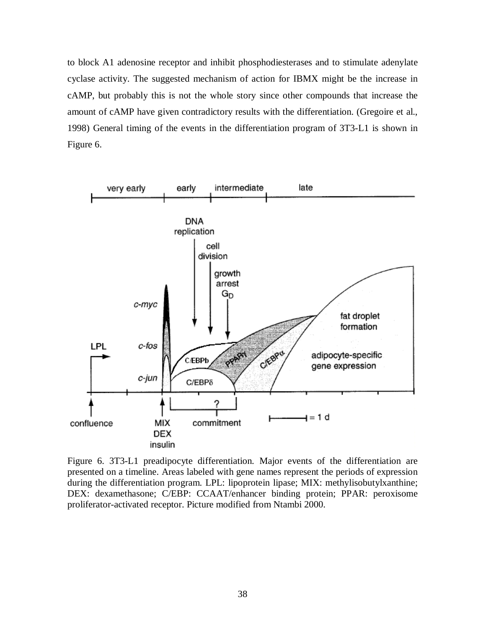to block A1 adenosine receptor and inhibit phosphodiesterases and to stimulate adenylate cyclase activity. The suggested mechanism of action for IBMX might be the increase in cAMP, but probably this is not the whole story since other compounds that increase the amount of cAMP have given contradictory results with the differentiation. (Gregoire et al., 1998) General timing of the events in the differentiation program of 3T3-L1 is shown in Figure 6.



Figure 6. 3T3-L1 preadipocyte differentiation. Major events of the differentiation are presented on a timeline. Areas labeled with gene names represent the periods of expression during the differentiation program. LPL: lipoprotein lipase; MIX: methylisobutylxanthine; DEX: dexamethasone; C/EBP: CCAAT/enhancer binding protein; PPAR: peroxisome proliferator-activated receptor. Picture modified from Ntambi 2000.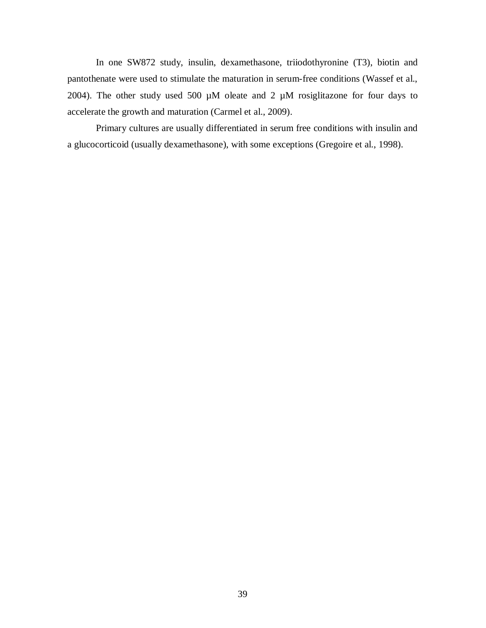In one SW872 study, insulin, dexamethasone, triiodothyronine (T3), biotin and pantothenate were used to stimulate the maturation in serum-free conditions (Wassef et al., 2004). The other study used 500  $\mu$ M oleate and 2  $\mu$ M rosiglitazone for four days to accelerate the growth and maturation (Carmel et al., 2009).

Primary cultures are usually differentiated in serum free conditions with insulin and a glucocorticoid (usually dexamethasone), with some exceptions (Gregoire et al., 1998).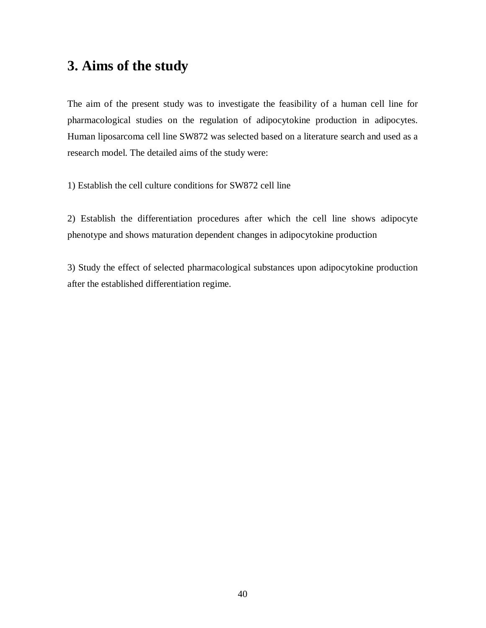## **3. Aims of the study**

The aim of the present study was to investigate the feasibility of a human cell line for pharmacological studies on the regulation of adipocytokine production in adipocytes. Human liposarcoma cell line SW872 was selected based on a literature search and used as a research model. The detailed aims of the study were:

1) Establish the cell culture conditions for SW872 cell line

2) Establish the differentiation procedures after which the cell line shows adipocyte phenotype and shows maturation dependent changes in adipocytokine production

3) Study the effect of selected pharmacological substances upon adipocytokine production after the established differentiation regime.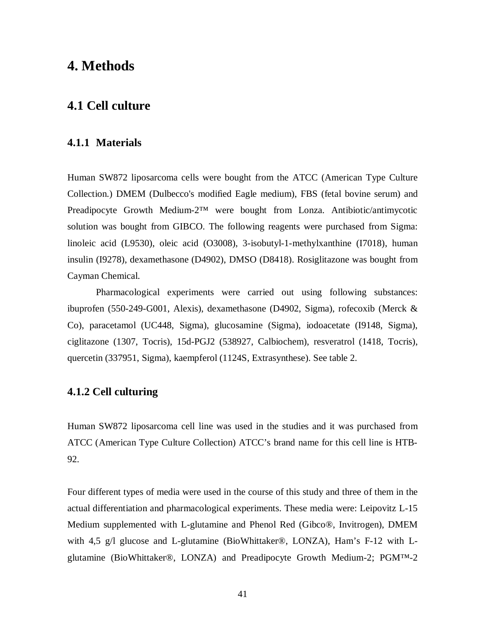## **4. Methods**

## **4.1 Cell culture**

#### **4.1.1 Materials**

Human SW872 liposarcoma cells were bought from the ATCC (American Type Culture Collection.) DMEM (Dulbecco's modified Eagle medium), FBS (fetal bovine serum) and Preadipocyte Growth Medium-2™ were bought from Lonza. Antibiotic/antimycotic solution was bought from GIBCO. The following reagents were purchased from Sigma: linoleic acid (L9530), oleic acid (O3008), 3-isobutyl-1-methylxanthine (I7018), human insulin (I9278), dexamethasone (D4902), DMSO (D8418). Rosiglitazone was bought from Cayman Chemical.

Pharmacological experiments were carried out using following substances: ibuprofen (550-249-G001, Alexis), dexamethasone (D4902, Sigma), rofecoxib (Merck & Co), paracetamol (UC448, Sigma), glucosamine (Sigma), iodoacetate (I9148, Sigma), ciglitazone (1307, Tocris), 15d-PGJ2 (538927, Calbiochem), resveratrol (1418, Tocris), quercetin (337951, Sigma), kaempferol (1124S, Extrasynthese). See table 2.

#### **4.1.2 Cell culturing**

Human SW872 liposarcoma cell line was used in the studies and it was purchased from ATCC (American Type Culture Collection) ATCC's brand name for this cell line is HTB-92.

Four different types of media were used in the course of this study and three of them in the actual differentiation and pharmacological experiments. These media were: Leipovitz L-15 Medium supplemented with L-glutamine and Phenol Red (Gibco®, Invitrogen), DMEM with 4,5 g/l glucose and L-glutamine (BioWhittaker®, LONZA), Ham's F-12 with Lglutamine (BioWhittaker®, LONZA) and Preadipocyte Growth Medium-2; PGM™-2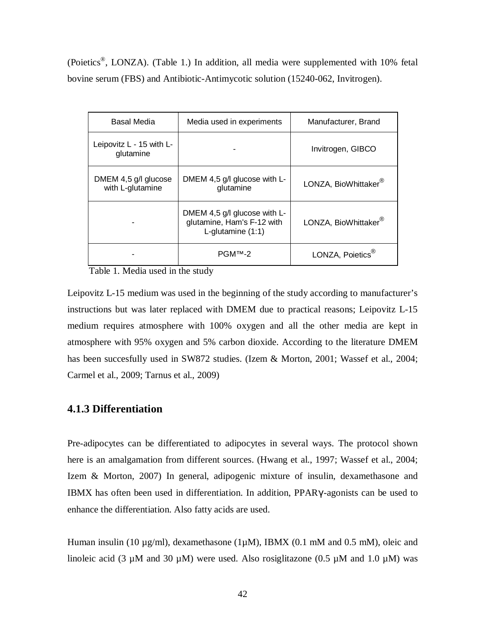(Poietics®, LONZA). (Table 1.) In addition, all media were supplemented with 10% fetal bovine serum (FBS) and Antibiotic-Antimycotic solution (15240-062, Invitrogen).

| Basal Media                              | Media used in experiments                                                       | Manufacturer, Brand          |
|------------------------------------------|---------------------------------------------------------------------------------|------------------------------|
| Leipovitz L - 15 with L-<br>glutamine    |                                                                                 | Invitrogen, GIBCO            |
| DMEM 4,5 g/l glucose<br>with L-glutamine | DMEM 4,5 g/l glucose with L-<br>glutamine                                       | LONZA, BioWhittaker®         |
|                                          | DMEM 4,5 g/l glucose with L-<br>glutamine, Ham's F-12 with<br>L-glutamine (1:1) | LONZA, BioWhittaker®         |
|                                          | PGMTM-2                                                                         | LONZA, Poietics <sup>®</sup> |

Table 1. Media used in the study

Leipovitz L-15 medium was used in the beginning of the study according to manufacturer's instructions but was later replaced with DMEM due to practical reasons; Leipovitz L-15 medium requires atmosphere with 100% oxygen and all the other media are kept in atmosphere with 95% oxygen and 5% carbon dioxide. According to the literature DMEM has been succesfully used in SW872 studies. (Izem & Morton, 2001; Wassef et al., 2004; Carmel et al., 2009; Tarnus et al., 2009)

#### **4.1.3 Differentiation**

Pre-adipocytes can be differentiated to adipocytes in several ways. The protocol shown here is an amalgamation from different sources. (Hwang et al., 1997; Wassef et al., 2004; Izem & Morton, 2007) In general, adipogenic mixture of insulin, dexamethasone and IBMX has often been used in differentiation. In addition, PPARY-agonists can be used to enhance the differentiation. Also fatty acids are used.

Human insulin (10 µg/ml), dexamethasone (1µM), IBMX (0.1 mM and 0.5 mM), oleic and linoleic acid (3  $\mu$ M and 30  $\mu$ M) were used. Also rosiglitazone (0.5  $\mu$ M and 1.0  $\mu$ M) was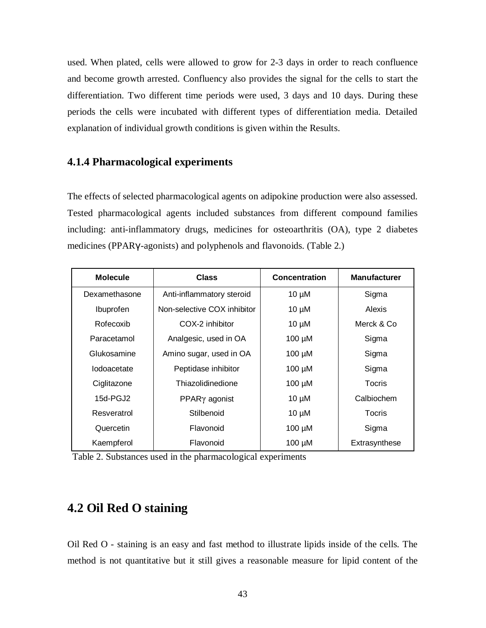used. When plated, cells were allowed to grow for 2-3 days in order to reach confluence and become growth arrested. Confluency also provides the signal for the cells to start the differentiation. Two different time periods were used, 3 days and 10 days. During these periods the cells were incubated with different types of differentiation media. Detailed explanation of individual growth conditions is given within the Results.

#### **4.1.4 Pharmacological experiments**

The effects of selected pharmacological agents on adipokine production were also assessed. Tested pharmacological agents included substances from different compound families including: anti-inflammatory drugs, medicines for osteoarthritis (OA), type 2 diabetes medicines (PPARY-agonists) and polyphenols and flavonoids. (Table 2.)

| <b>Molecule</b> | <b>Class</b>                | <b>Concentration</b> | <b>Manufacturer</b> |
|-----------------|-----------------------------|----------------------|---------------------|
| Dexamethasone   | Anti-inflammatory steroid   | $10 \mu M$           | Sigma               |
| Ibuprofen       | Non-selective COX inhibitor | $10 \mu M$           | <b>Alexis</b>       |
| Rofecoxib       | COX-2 inhibitor             | $10 \mu M$           | Merck & Co          |
| Paracetamol     | Analgesic, used in OA       | $100 \mu M$          | Sigma               |
| Glukosamine     | Amino sugar, used in OA     | $100 \mu M$          | Sigma               |
| Iodoacetate     | Peptidase inhibitor         | $100 \mu M$          | Sigma               |
| Ciglitazone     | Thiazolidinedione           | $100 \mu M$          | <b>Tocris</b>       |
| 15d-PGJ2        | $PPAR\gamma$ agonist        | $10 \mu M$           | Calbiochem          |
| Resveratrol     | Stilbenoid                  | $10 \mu M$           | Tocris              |
| Quercetin       | Flavonoid                   | $100 \mu M$          | Sigma               |
| Kaempferol      | Flavonoid                   | $100 \mu M$          | Extrasynthese       |

Table 2. Substances used in the pharmacological experiments

## **4.2 Oil Red O staining**

Oil Red O - staining is an easy and fast method to illustrate lipids inside of the cells. The method is not quantitative but it still gives a reasonable measure for lipid content of the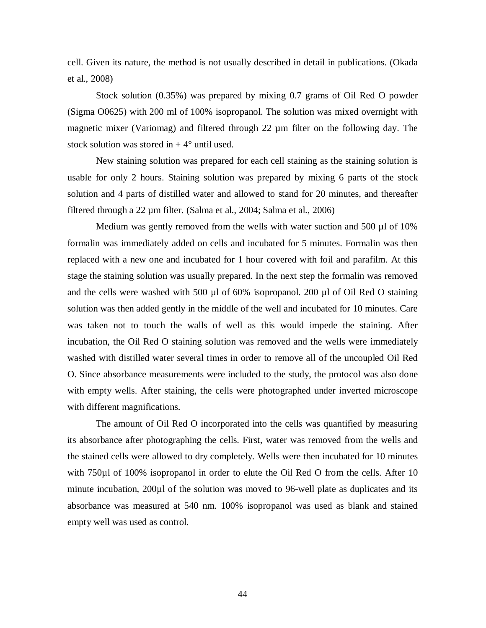cell. Given its nature, the method is not usually described in detail in publications. (Okada et al., 2008)

Stock solution (0.35%) was prepared by mixing 0.7 grams of Oil Red O powder (Sigma O0625) with 200 ml of 100% isopropanol. The solution was mixed overnight with magnetic mixer (Variomag) and filtered through 22 µm filter on the following day. The stock solution was stored in  $+4^{\circ}$  until used.

New staining solution was prepared for each cell staining as the staining solution is usable for only 2 hours. Staining solution was prepared by mixing 6 parts of the stock solution and 4 parts of distilled water and allowed to stand for 20 minutes, and thereafter filtered through a 22 µm filter. (Salma et al., 2004; Salma et al., 2006)

Medium was gently removed from the wells with water suction and 500 µl of 10% formalin was immediately added on cells and incubated for 5 minutes. Formalin was then replaced with a new one and incubated for 1 hour covered with foil and parafilm. At this stage the staining solution was usually prepared. In the next step the formalin was removed and the cells were washed with 500 µl of 60% isopropanol. 200 µl of Oil Red O staining solution was then added gently in the middle of the well and incubated for 10 minutes. Care was taken not to touch the walls of well as this would impede the staining. After incubation, the Oil Red O staining solution was removed and the wells were immediately washed with distilled water several times in order to remove all of the uncoupled Oil Red O. Since absorbance measurements were included to the study, the protocol was also done with empty wells. After staining, the cells were photographed under inverted microscope with different magnifications.

The amount of Oil Red O incorporated into the cells was quantified by measuring its absorbance after photographing the cells. First, water was removed from the wells and the stained cells were allowed to dry completely. Wells were then incubated for 10 minutes with 750 $\mu$ l of 100% isopropanol in order to elute the Oil Red O from the cells. After 10 minute incubation, 200µl of the solution was moved to 96-well plate as duplicates and its absorbance was measured at 540 nm. 100% isopropanol was used as blank and stained empty well was used as control.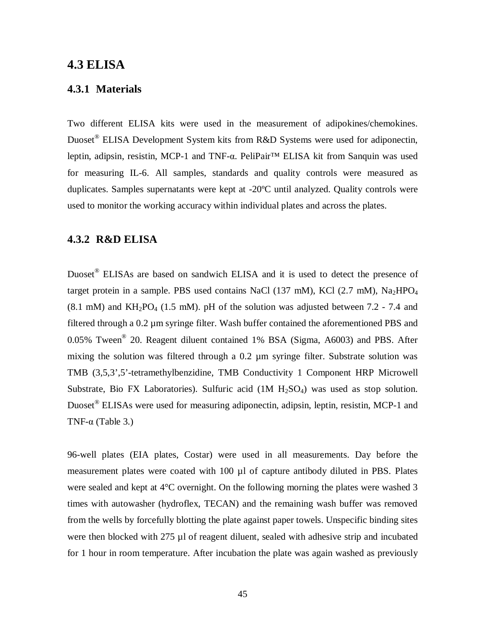### **4.3 ELISA**

#### **4.3.1 Materials**

Two different ELISA kits were used in the measurement of adipokines/chemokines. Duoset<sup>®</sup> ELISA Development System kits from R&D Systems were used for adiponectin, leptin, adipsin, resistin, MCP-1 and TNF-α. PeliPair<sup>™</sup> ELISA kit from Sanquin was used for measuring IL-6. All samples, standards and quality controls were measured as duplicates. Samples supernatants were kept at -20ºC until analyzed. Quality controls were used to monitor the working accuracy within individual plates and across the plates.

#### **4.3.2 R&D ELISA**

Duoset<sup>®</sup> ELISAs are based on sandwich ELISA and it is used to detect the presence of target protein in a sample. PBS used contains NaCl (137 mM), KCl (2.7 mM), Na<sub>2</sub>HPO<sub>4</sub>  $(8.1 \text{ mM})$  and KH<sub>2</sub>PO<sub>4</sub> (1.5 mM). pH of the solution was adjusted between 7.2 - 7.4 and filtered through a 0.2 µm syringe filter. Wash buffer contained the aforementioned PBS and 0.05% Tween<sup>®</sup> 20. Reagent diluent contained 1% BSA (Sigma, A6003) and PBS. After mixing the solution was filtered through a 0.2 µm syringe filter. Substrate solution was TMB (3,5,3',5'-tetramethylbenzidine, TMB Conductivity 1 Component HRP Microwell Substrate, Bio FX Laboratories). Sulfuric acid  $(1M H<sub>2</sub>SO<sub>4</sub>)$  was used as stop solution. Duoset<sup>®</sup> ELISAs were used for measuring adiponectin, adipsin, leptin, resistin, MCP-1 and TNF- $\alpha$  (Table 3.)

96-well plates (EIA plates, Costar) were used in all measurements. Day before the measurement plates were coated with 100 µl of capture antibody diluted in PBS. Plates were sealed and kept at 4°C overnight. On the following morning the plates were washed 3 times with autowasher (hydroflex, TECAN) and the remaining wash buffer was removed from the wells by forcefully blotting the plate against paper towels. Unspecific binding sites were then blocked with 275 µl of reagent diluent, sealed with adhesive strip and incubated for 1 hour in room temperature. After incubation the plate was again washed as previously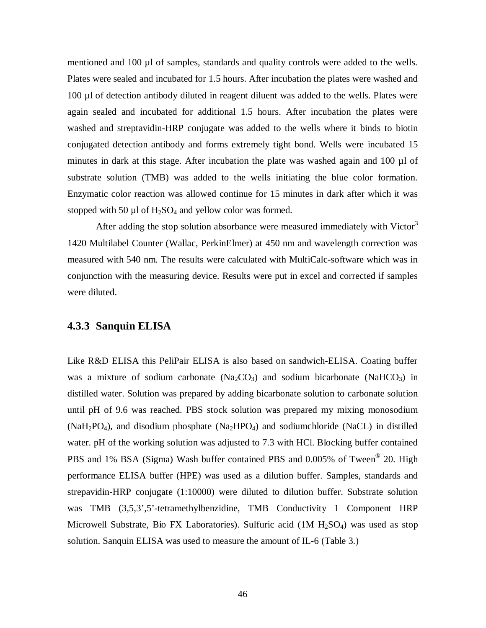mentioned and 100 µl of samples, standards and quality controls were added to the wells. Plates were sealed and incubated for 1.5 hours. After incubation the plates were washed and 100 µl of detection antibody diluted in reagent diluent was added to the wells. Plates were again sealed and incubated for additional 1.5 hours. After incubation the plates were washed and streptavidin-HRP conjugate was added to the wells where it binds to biotin conjugated detection antibody and forms extremely tight bond. Wells were incubated 15 minutes in dark at this stage. After incubation the plate was washed again and 100 µl of substrate solution (TMB) was added to the wells initiating the blue color formation. Enzymatic color reaction was allowed continue for 15 minutes in dark after which it was stopped with 50  $\mu$ l of H<sub>2</sub>SO<sub>4</sub> and yellow color was formed.

After adding the stop solution absorbance were measured immediately with Victor<sup>3</sup> 1420 Multilabel Counter (Wallac, PerkinElmer) at 450 nm and wavelength correction was measured with 540 nm. The results were calculated with MultiCalc-software which was in conjunction with the measuring device. Results were put in excel and corrected if samples were diluted.

#### **4.3.3 Sanquin ELISA**

Like R&D ELISA this PeliPair ELISA is also based on sandwich-ELISA. Coating buffer was a mixture of sodium carbonate  $(Na_2CO_3)$  and sodium bicarbonate  $(NaHCO_3)$  in distilled water. Solution was prepared by adding bicarbonate solution to carbonate solution until pH of 9.6 was reached. PBS stock solution was prepared my mixing monosodium  $(NaH<sub>2</sub>PO<sub>4</sub>)$ , and disodium phosphate  $(Na<sub>2</sub>HPO<sub>4</sub>)$  and sodiumchloride  $(NaCL)$  in distilled water. pH of the working solution was adjusted to 7.3 with HCl. Blocking buffer contained PBS and 1% BSA (Sigma) Wash buffer contained PBS and 0.005% of Tween<sup>®</sup> 20. High performance ELISA buffer (HPE) was used as a dilution buffer. Samples, standards and strepavidin-HRP conjugate (1:10000) were diluted to dilution buffer. Substrate solution was TMB (3,5,3',5'-tetramethylbenzidine, TMB Conductivity 1 Component HRP Microwell Substrate, Bio FX Laboratories). Sulfuric acid  $(1M H<sub>2</sub>SO<sub>4</sub>)$  was used as stop solution. Sanquin ELISA was used to measure the amount of IL-6 (Table 3.)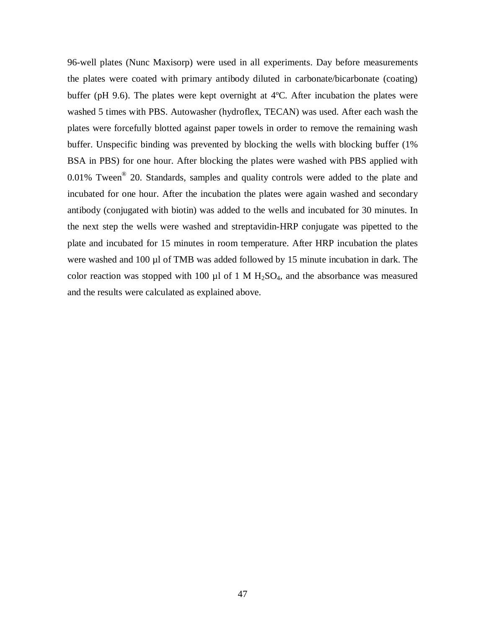96-well plates (Nunc Maxisorp) were used in all experiments. Day before measurements the plates were coated with primary antibody diluted in carbonate/bicarbonate (coating) buffer (pH 9.6). The plates were kept overnight at 4ºC. After incubation the plates were washed 5 times with PBS. Autowasher (hydroflex, TECAN) was used. After each wash the plates were forcefully blotted against paper towels in order to remove the remaining wash buffer. Unspecific binding was prevented by blocking the wells with blocking buffer (1% BSA in PBS) for one hour. After blocking the plates were washed with PBS applied with  $0.01\%$  Tween<sup>®</sup> 20. Standards, samples and quality controls were added to the plate and incubated for one hour. After the incubation the plates were again washed and secondary antibody (conjugated with biotin) was added to the wells and incubated for 30 minutes. In the next step the wells were washed and streptavidin-HRP conjugate was pipetted to the plate and incubated for 15 minutes in room temperature. After HRP incubation the plates were washed and 100 µl of TMB was added followed by 15 minute incubation in dark. The color reaction was stopped with 100  $\mu$ l of 1 M H<sub>2</sub>SO<sub>4</sub>, and the absorbance was measured and the results were calculated as explained above.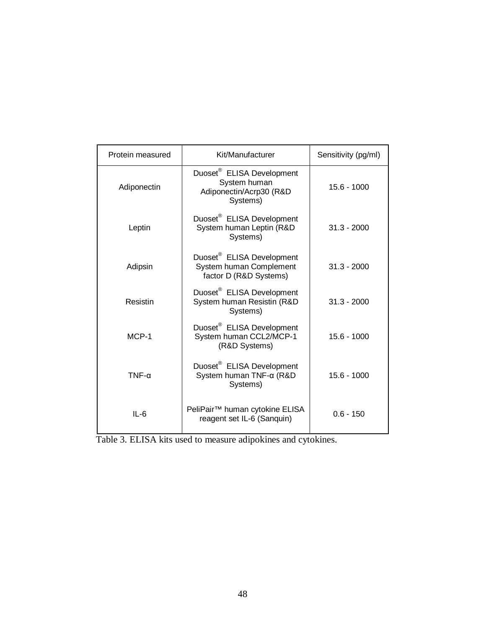| Protein measured | Kit/Manufacturer                                                                             | Sensitivity (pg/ml) |
|------------------|----------------------------------------------------------------------------------------------|---------------------|
| Adiponectin      | Duoset <sup>®</sup> ELISA Development<br>System human<br>Adiponectin/Acrp30 (R&D<br>Systems) | $15.6 - 1000$       |
| Leptin           | Duoset <sup>®</sup> ELISA Development<br>System human Leptin (R&D<br>Systems)                | $31.3 - 2000$       |
| Adipsin          | Duoset <sup>®</sup> ELISA Development<br>System human Complement<br>factor D (R&D Systems)   | $31.3 - 2000$       |
| Resistin         | Duoset <sup>®</sup> ELISA Development<br>System human Resistin (R&D<br>Systems)              | $31.3 - 2000$       |
| MCP-1            | Duoset <sup>®</sup> ELISA Development<br>System human CCL2/MCP-1<br>(R&D Systems)            | $15.6 - 1000$       |
| $TNF-\alpha$     | Duoset <sup>®</sup> ELISA Development<br>System human TNF-α (R&D<br>Systems)                 | $15.6 - 1000$       |
| $IL-6$           | PeliPair <sup>™</sup> human cytokine ELISA<br>reagent set IL-6 (Sanquin)                     | $0.6 - 150$         |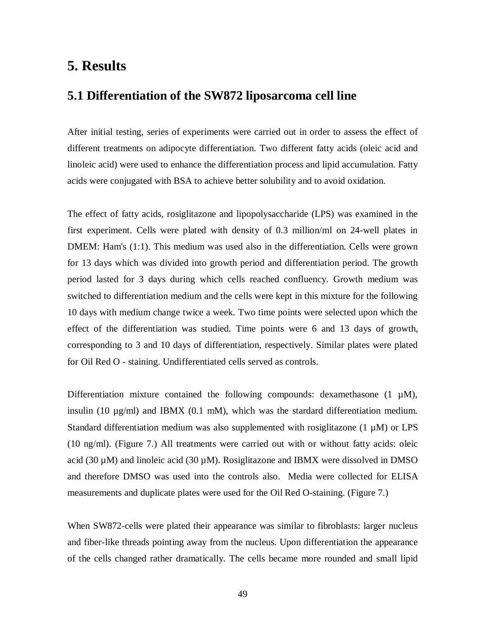## **5. Results**

#### **5.1 Differentiation of the SW872 liposarcoma cell line**

After initial testing, series of experiments were carried out in order to assess the effect of different treatments on adipocyte differentiation. Two different fatty acids (oleic acid and linoleic acid) were used to enhance the differentiation process and lipid accumulation. Fatty acids were conjugated with BSA to achieve better solubility and to avoid oxidation.

The effect of fatty acids, rosiglitazone and lipopolysaccharide (LPS) was examined in the first experiment. Cells were plated with density of 0.3 million/ml on 24-well plates in DMEM: Ham's (1:1). This medium was used also in the differentiation. Cells were grown for 13 days which was divided into growth period and differentiation period. The growth period lasted for 3 days during which cells reached confluency. Growth medium was switched to differentiation medium and the cells were kept in this mixture for the following 10 days with medium change twice a week. Two time points were selected upon which the effect of the differentiation was studied. Time points were 6 and 13 days of growth, corresponding to 3 and 10 days of differentiation, respectively. Similar plates were plated for Oil Red O - staining. Undifferentiated cells served as controls.

Differentiation mixture contained the following compounds: dexamethasone  $(1 \mu M)$ , insulin (10  $\mu$ g/ml) and IBMX (0.1 mM), which was the stardard differentiation medium. Standard differentiation medium was also supplemented with rosiglitazone  $(1 \mu M)$  or LPS (10 ng/ml). (Figure 7.) All treatments were carried out with or without fatty acids: oleic acid (30  $\mu$ M) and linoleic acid (30  $\mu$ M). Rosiglitazone and IBMX were dissolved in DMSO and therefore DMSO was used into the controls also. Media were collected for ELISA measurements and duplicate plates were used for the Oil Red O-staining. (Figure 7.)

When SW872-cells were plated their appearance was similar to fibroblasts: larger nucleus and fiber-like threads pointing away from the nucleus. Upon differentiation the appearance of the cells changed rather dramatically. The cells became more rounded and small lipid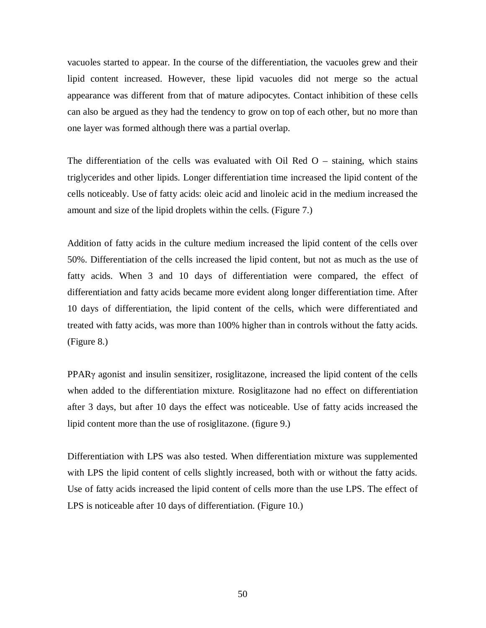vacuoles started to appear. In the course of the differentiation, the vacuoles grew and their lipid content increased. However, these lipid vacuoles did not merge so the actual appearance was different from that of mature adipocytes. Contact inhibition of these cells can also be argued as they had the tendency to grow on top of each other, but no more than one layer was formed although there was a partial overlap.

The differentiation of the cells was evaluated with Oil Red  $O$  – staining, which stains triglycerides and other lipids. Longer differentiation time increased the lipid content of the cells noticeably. Use of fatty acids: oleic acid and linoleic acid in the medium increased the amount and size of the lipid droplets within the cells. (Figure 7.)

Addition of fatty acids in the culture medium increased the lipid content of the cells over 50%. Differentiation of the cells increased the lipid content, but not as much as the use of fatty acids. When 3 and 10 days of differentiation were compared, the effect of differentiation and fatty acids became more evident along longer differentiation time. After 10 days of differentiation, the lipid content of the cells, which were differentiated and treated with fatty acids, was more than 100% higher than in controls without the fatty acids. (Figure 8.)

PPAR<sub>Y</sub> agonist and insulin sensitizer, rosiglitazone, increased the lipid content of the cells when added to the differentiation mixture. Rosiglitazone had no effect on differentiation after 3 days, but after 10 days the effect was noticeable. Use of fatty acids increased the lipid content more than the use of rosiglitazone. (figure 9.)

Differentiation with LPS was also tested. When differentiation mixture was supplemented with LPS the lipid content of cells slightly increased, both with or without the fatty acids. Use of fatty acids increased the lipid content of cells more than the use LPS. The effect of LPS is noticeable after 10 days of differentiation. (Figure 10.)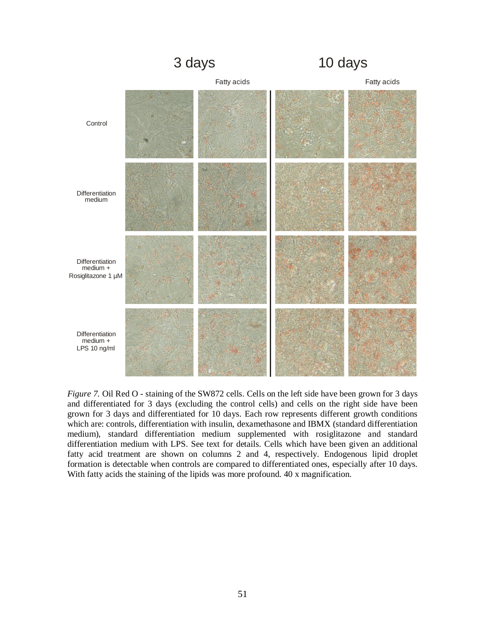

*Figure 7.* Oil Red O - staining of the SW872 cells. Cells on the left side have been grown for 3 days and differentiated for 3 days (excluding the control cells) and cells on the right side have been grown for 3 days and differentiated for 10 days. Each row represents different growth conditions which are: controls, differentiation with insulin, dexamethasone and IBMX (standard differentiation medium), standard differentiation medium supplemented with rosiglitazone and standard differentiation medium with LPS. See text for details. Cells which have been given an additional fatty acid treatment are shown on columns 2 and 4, respectively. Endogenous lipid droplet formation is detectable when controls are compared to differentiated ones, especially after 10 days. With fatty acids the staining of the lipids was more profound. 40 x magnification.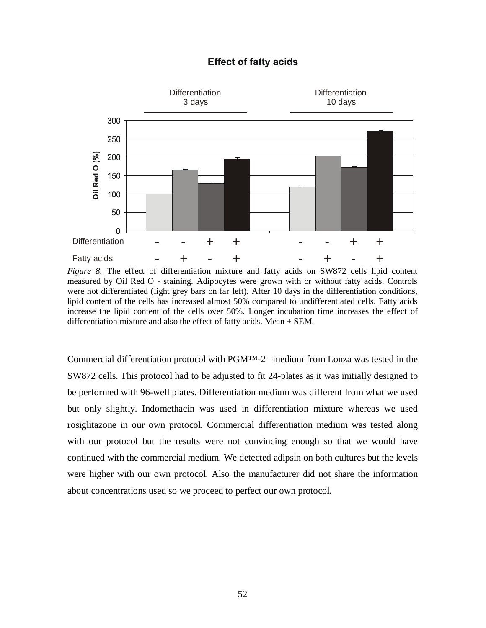#### **Effect of fatty acids**



*Figure 8.* The effect of differentiation mixture and fatty acids on SW872 cells lipid content measured by Oil Red O - staining. Adipocytes were grown with or without fatty acids. Controls were not differentiated (light grey bars on far left). After 10 days in the differentiation conditions, lipid content of the cells has increased almost 50% compared to undifferentiated cells. Fatty acids increase the lipid content of the cells over 50%. Longer incubation time increases the effect of differentiation mixture and also the effect of fatty acids. Mean + SEM.

Commercial differentiation protocol with  $PGM^{TM-2}$  –medium from Lonza was tested in the SW872 cells. This protocol had to be adjusted to fit 24-plates as it was initially designed to be performed with 96-well plates. Differentiation medium was different from what we used but only slightly. Indomethacin was used in differentiation mixture whereas we used rosiglitazone in our own protocol. Commercial differentiation medium was tested along with our protocol but the results were not convincing enough so that we would have continued with the commercial medium. We detected adipsin on both cultures but the levels were higher with our own protocol. Also the manufacturer did not share the information about concentrations used so we proceed to perfect our own protocol.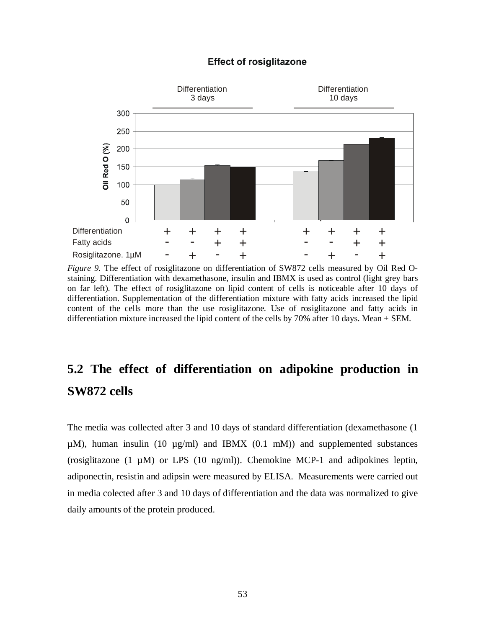#### **Effect of rosiglitazone**



*Figure 9.* The effect of rosiglitazone on differentiation of SW872 cells measured by Oil Red Ostaining. Differentiation with dexamethasone, insulin and IBMX is used as control (light grey bars on far left). The effect of rosiglitazone on lipid content of cells is noticeable after 10 days of differentiation. Supplementation of the differentiation mixture with fatty acids increased the lipid content of the cells more than the use rosiglitazone. Use of rosiglitazone and fatty acids in differentiation mixture increased the lipid content of the cells by 70% after 10 days. Mean + SEM.

## **5.2 The effect of differentiation on adipokine production in SW872 cells**

The media was collected after 3 and 10 days of standard differentiation (dexamethasone (1  $\mu$ M), human insulin (10  $\mu$ g/ml) and IBMX (0.1 mM)) and supplemented substances (rosiglitazone  $(1 \mu M)$  or LPS  $(10 \text{ ng/ml})$ ). Chemokine MCP-1 and adipokines leptin, adiponectin, resistin and adipsin were measured by ELISA. Measurements were carried out in media colected after 3 and 10 days of differentiation and the data was normalized to give daily amounts of the protein produced.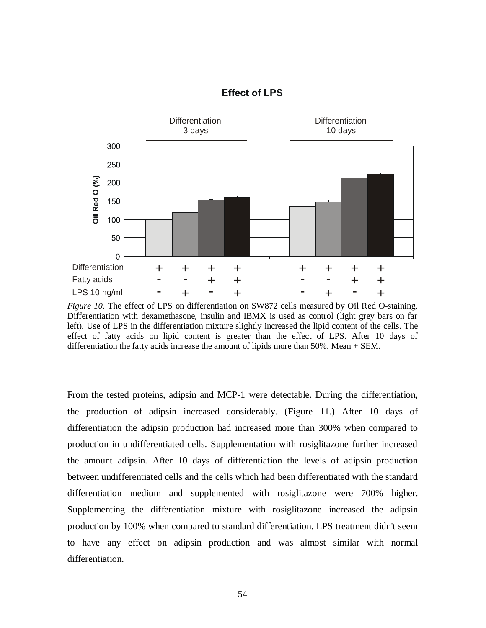

#### **Effect of LPS**

*Figure 10.* The effect of LPS on differentiation on SW872 cells measured by Oil Red O-staining. Differentiation with dexamethasone, insulin and IBMX is used as control (light grey bars on far left). Use of LPS in the differentiation mixture slightly increased the lipid content of the cells. The effect of fatty acids on lipid content is greater than the effect of LPS. After 10 days of differentiation the fatty acids increase the amount of lipids more than 50%. Mean + SEM.

From the tested proteins, adipsin and MCP-1 were detectable. During the differentiation, the production of adipsin increased considerably. (Figure 11.) After 10 days of differentiation the adipsin production had increased more than 300% when compared to production in undifferentiated cells. Supplementation with rosiglitazone further increased the amount adipsin. After 10 days of differentiation the levels of adipsin production between undifferentiated cells and the cells which had been differentiated with the standard differentiation medium and supplemented with rosiglitazone were 700% higher. Supplementing the differentiation mixture with rosiglitazone increased the adipsin production by 100% when compared to standard differentiation. LPS treatment didn't seem to have any effect on adipsin production and was almost similar with normal differentiation.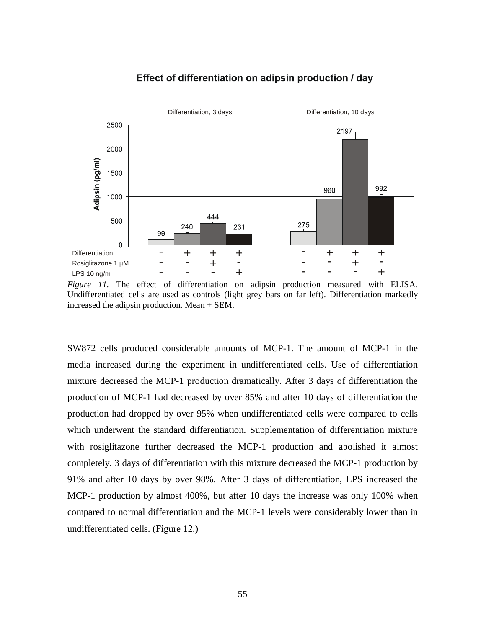

#### Effect of differentiation on adipsin production / day

*Figure 11.* The effect of differentiation on adipsin production measured with ELISA. Undifferentiated cells are used as controls (light grey bars on far left). Differentiation markedly increased the adipsin production. Mean + SEM.

SW872 cells produced considerable amounts of MCP-1. The amount of MCP-1 in the media increased during the experiment in undifferentiated cells. Use of differentiation mixture decreased the MCP-1 production dramatically. After 3 days of differentiation the production of MCP-1 had decreased by over 85% and after 10 days of differentiation the production had dropped by over 95% when undifferentiated cells were compared to cells which underwent the standard differentiation. Supplementation of differentiation mixture with rosiglitazone further decreased the MCP-1 production and abolished it almost completely. 3 days of differentiation with this mixture decreased the MCP-1 production by 91% and after 10 days by over 98%. After 3 days of differentiation, LPS increased the MCP-1 production by almost 400%, but after 10 days the increase was only 100% when compared to normal differentiation and the MCP-1 levels were considerably lower than in undifferentiated cells. (Figure 12.)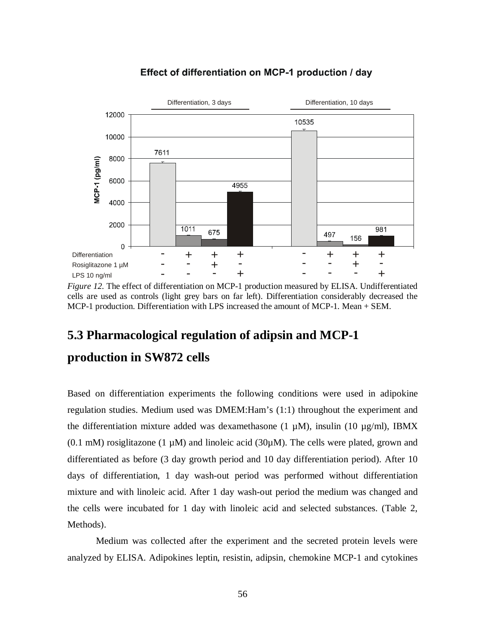



*Figure 12.* The effect of differentiation on MCP-1 production measured by ELISA. Undifferentiated cells are used as controls (light grey bars on far left). Differentiation considerably decreased the MCP-1 production. Differentiation with LPS increased the amount of MCP-1. Mean + SEM.

## **5.3 Pharmacological regulation of adipsin and MCP-1 production in SW872 cells**

Based on differentiation experiments the following conditions were used in adipokine regulation studies. Medium used was DMEM:Ham's (1:1) throughout the experiment and the differentiation mixture added was dexamethasone (1  $\mu$ M), insulin (10  $\mu$ g/ml), IBMX (0.1 mM) rosiglitazone (1  $\mu$ M) and linoleic acid (30 $\mu$ M). The cells were plated, grown and differentiated as before (3 day growth period and 10 day differentiation period). After 10 days of differentiation, 1 day wash-out period was performed without differentiation mixture and with linoleic acid. After 1 day wash-out period the medium was changed and the cells were incubated for 1 day with linoleic acid and selected substances. (Table 2, Methods).

Medium was collected after the experiment and the secreted protein levels were analyzed by ELISA. Adipokines leptin, resistin, adipsin, chemokine MCP-1 and cytokines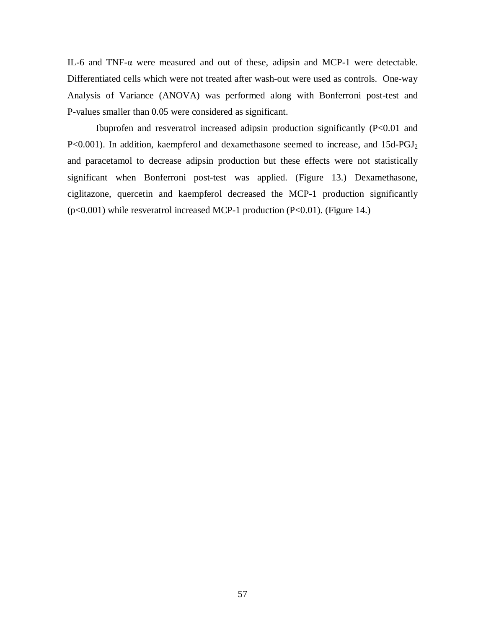IL-6 and TNF- $\alpha$  were measured and out of these, adipsin and MCP-1 were detectable. Differentiated cells which were not treated after wash-out were used as controls. One-way Analysis of Variance (ANOVA) was performed along with Bonferroni post-test and P-values smaller than 0.05 were considered as significant.

Ibuprofen and resveratrol increased adipsin production significantly (P<0.01 and P<0.001). In addition, kaempferol and dexamethasone seemed to increase, and 15d-PGJ<sub>2</sub> and paracetamol to decrease adipsin production but these effects were not statistically significant when Bonferroni post-test was applied. (Figure 13.) Dexamethasone, ciglitazone, quercetin and kaempferol decreased the MCP-1 production significantly (p<0.001) while resveratrol increased MCP-1 production (P<0.01). (Figure 14.)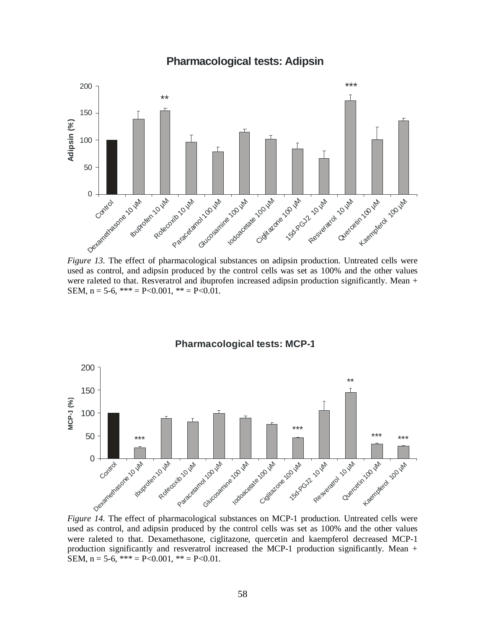



*Figure 13.* The effect of pharmacological substances on adipsin production. Untreated cells were used as control, and adipsin produced by the control cells was set as 100% and the other values were raleted to that. Resveratrol and ibuprofen increased adipsin production significantly. Mean + SEM,  $n = 5-6$ ,  $*** = P < 0.001$ ,  $** = P < 0.01$ .

**Pharmacological tests: MCP-1**



*Figure 14.* The effect of pharmacological substances on MCP-1 production. Untreated cells were used as control, and adipsin produced by the control cells was set as 100% and the other values were raleted to that. Dexamethasone, ciglitazone, quercetin and kaempferol decreased MCP-1 production significantly and resveratrol increased the MCP-1 production significantly. Mean + SEM,  $n = 5-6$ ,  $*** = P < 0.001$ ,  $** = P < 0.01$ .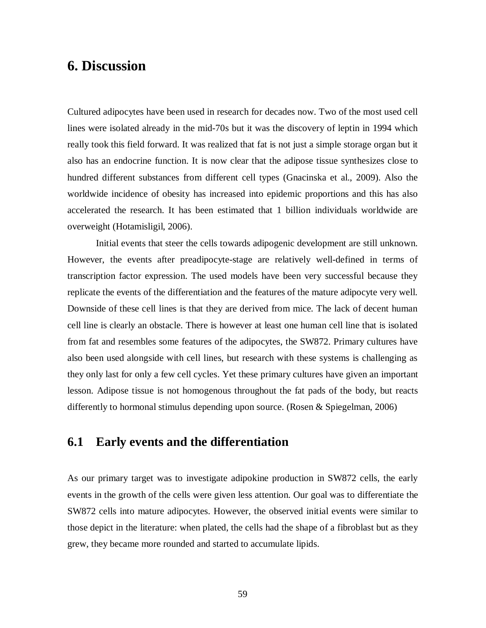## **6. Discussion**

Cultured adipocytes have been used in research for decades now. Two of the most used cell lines were isolated already in the mid-70s but it was the discovery of leptin in 1994 which really took this field forward. It was realized that fat is not just a simple storage organ but it also has an endocrine function. It is now clear that the adipose tissue synthesizes close to hundred different substances from different cell types (Gnacinska et al., 2009). Also the worldwide incidence of obesity has increased into epidemic proportions and this has also accelerated the research. It has been estimated that 1 billion individuals worldwide are overweight (Hotamisligil, 2006).

Initial events that steer the cells towards adipogenic development are still unknown. However, the events after preadipocyte-stage are relatively well-defined in terms of transcription factor expression. The used models have been very successful because they replicate the events of the differentiation and the features of the mature adipocyte very well. Downside of these cell lines is that they are derived from mice. The lack of decent human cell line is clearly an obstacle. There is however at least one human cell line that is isolated from fat and resembles some features of the adipocytes, the SW872. Primary cultures have also been used alongside with cell lines, but research with these systems is challenging as they only last for only a few cell cycles. Yet these primary cultures have given an important lesson. Adipose tissue is not homogenous throughout the fat pads of the body, but reacts differently to hormonal stimulus depending upon source. (Rosen & Spiegelman, 2006)

## **6.1 Early events and the differentiation**

As our primary target was to investigate adipokine production in SW872 cells, the early events in the growth of the cells were given less attention. Our goal was to differentiate the SW872 cells into mature adipocytes. However, the observed initial events were similar to those depict in the literature: when plated, the cells had the shape of a fibroblast but as they grew, they became more rounded and started to accumulate lipids.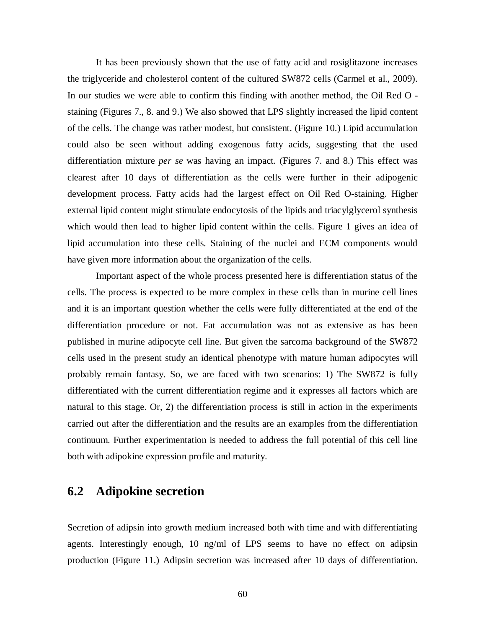It has been previously shown that the use of fatty acid and rosiglitazone increases the triglyceride and cholesterol content of the cultured SW872 cells (Carmel et al., 2009). In our studies we were able to confirm this finding with another method, the Oil Red O staining (Figures 7., 8. and 9.) We also showed that LPS slightly increased the lipid content of the cells. The change was rather modest, but consistent. (Figure 10.) Lipid accumulation could also be seen without adding exogenous fatty acids, suggesting that the used differentiation mixture *per se* was having an impact. (Figures 7. and 8.) This effect was clearest after 10 days of differentiation as the cells were further in their adipogenic development process. Fatty acids had the largest effect on Oil Red O-staining. Higher external lipid content might stimulate endocytosis of the lipids and triacylglycerol synthesis which would then lead to higher lipid content within the cells. Figure 1 gives an idea of lipid accumulation into these cells. Staining of the nuclei and ECM components would have given more information about the organization of the cells.

Important aspect of the whole process presented here is differentiation status of the cells. The process is expected to be more complex in these cells than in murine cell lines and it is an important question whether the cells were fully differentiated at the end of the differentiation procedure or not. Fat accumulation was not as extensive as has been published in murine adipocyte cell line. But given the sarcoma background of the SW872 cells used in the present study an identical phenotype with mature human adipocytes will probably remain fantasy. So, we are faced with two scenarios: 1) The SW872 is fully differentiated with the current differentiation regime and it expresses all factors which are natural to this stage. Or, 2) the differentiation process is still in action in the experiments carried out after the differentiation and the results are an examples from the differentiation continuum. Further experimentation is needed to address the full potential of this cell line both with adipokine expression profile and maturity.

## **6.2 Adipokine secretion**

Secretion of adipsin into growth medium increased both with time and with differentiating agents. Interestingly enough, 10 ng/ml of LPS seems to have no effect on adipsin production (Figure 11.) Adipsin secretion was increased after 10 days of differentiation.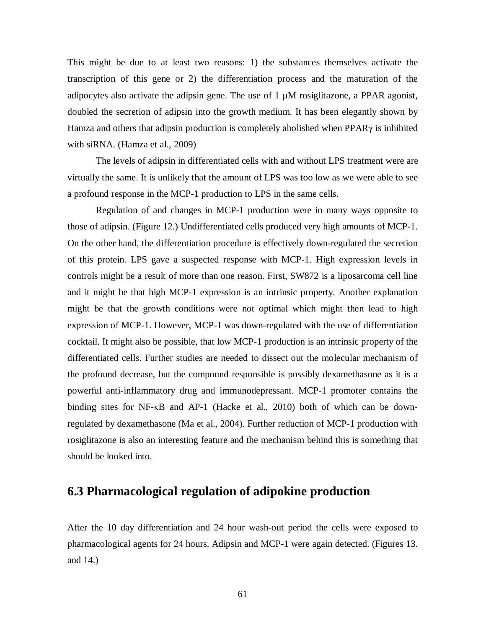This might be due to at least two reasons: 1) the substances themselves activate the transcription of this gene or 2) the differentiation process and the maturation of the adipocytes also activate the adipsin gene. The use of  $1 \mu M$  rosiglitazone, a PPAR agonist, doubled the secretion of adipsin into the growth medium. It has been elegantly shown by Hamza and others that adipsin production is completely abolished when  $PPAR\gamma$  is inhibited with siRNA. (Hamza et al., 2009)

The levels of adipsin in differentiated cells with and without LPS treatment were are virtually the same. It is unlikely that the amount of LPS was too low as we were able to see a profound response in the MCP-1 production to LPS in the same cells.

Regulation of and changes in MCP-1 production were in many ways opposite to those of adipsin. (Figure 12.) Undifferentiated cells produced very high amounts of MCP-1. On the other hand, the differentiation procedure is effectively down-regulated the secretion of this protein. LPS gave a suspected response with MCP-1. High expression levels in controls might be a result of more than one reason. First, SW872 is a liposarcoma cell line and it might be that high MCP-1 expression is an intrinsic property. Another explanation might be that the growth conditions were not optimal which might then lead to high expression of MCP-1. However, MCP-1 was down-regulated with the use of differentiation cocktail. It might also be possible, that low MCP-1 production is an intrinsic property of the differentiated cells. Further studies are needed to dissect out the molecular mechanism of the profound decrease, but the compound responsible is possibly dexamethasone as it is a powerful anti-inflammatory drug and immunodepressant. MCP-1 promoter contains the binding sites for NF- $\kappa$ B and AP-1 (Hacke et al., 2010) both of which can be downregulated by dexamethasone (Ma et al., 2004). Further reduction of MCP-1 production with rosiglitazone is also an interesting feature and the mechanism behind this is something that should be looked into.

## **6.3 Pharmacological regulation of adipokine production**

After the 10 day differentiation and 24 hour wash-out period the cells were exposed to pharmacological agents for 24 hours. Adipsin and MCP-1 were again detected. (Figures 13. and 14.)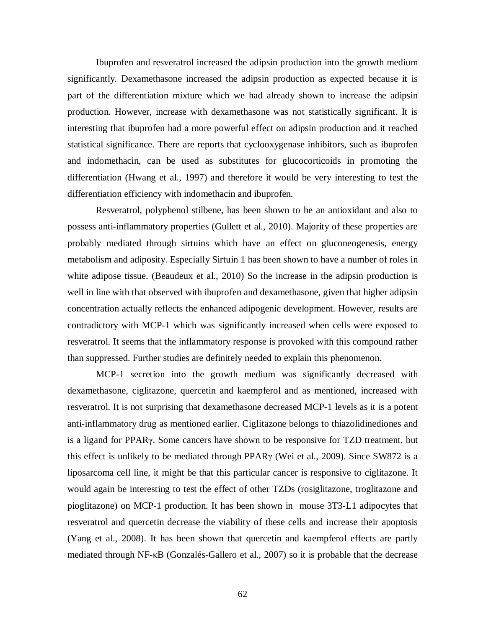Ibuprofen and resveratrol increased the adipsin production into the growth medium significantly. Dexamethasone increased the adipsin production as expected because it is part of the differentiation mixture which we had already shown to increase the adipsin production. However, increase with dexamethasone was not statistically significant. It is interesting that ibuprofen had a more powerful effect on adipsin production and it reached statistical significance. There are reports that cyclooxygenase inhibitors, such as ibuprofen and indomethacin, can be used as substitutes for glucocorticoids in promoting the differentiation (Hwang et al., 1997) and therefore it would be very interesting to test the differentiation efficiency with indomethacin and ibuprofen.

Resveratrol, polyphenol stilbene, has been shown to be an antioxidant and also to possess anti-inflammatory properties (Gullett et al., 2010). Majority of these properties are probably mediated through sirtuins which have an effect on gluconeogenesis, energy metabolism and adiposity. Especially Sirtuin 1 has been shown to have a number of roles in white adipose tissue. (Beaudeux et al., 2010) So the increase in the adipsin production is well in line with that observed with ibuprofen and dexamethasone, given that higher adipsin concentration actually reflects the enhanced adipogenic development. However, results are contradictory with MCP-1 which was significantly increased when cells were exposed to resveratrol. It seems that the inflammatory response is provoked with this compound rather than suppressed. Further studies are definitely needed to explain this phenomenon.

MCP-1 secretion into the growth medium was significantly decreased with dexamethasone, ciglitazone, quercetin and kaempferol and as mentioned, increased with resveratrol. It is not surprising that dexamethasone decreased MCP-1 levels as it is a potent anti-inflammatory drug as mentioned earlier. Ciglitazone belongs to thiazolidinediones and is a ligand for PPAR<sub>Y</sub>. Some cancers have shown to be responsive for TZD treatment, but this effect is unlikely to be mediated through PPAR $\gamma$  (Wei et al., 2009). Since SW872 is a liposarcoma cell line, it might be that this particular cancer is responsive to ciglitazone. It would again be interesting to test the effect of other TZDs (rosiglitazone, troglitazone and pioglitazone) on MCP-1 production. It has been shown in mouse 3T3-L1 adipocytes that resveratrol and quercetin decrease the viability of these cells and increase their apoptosis (Yang et al., 2008). It has been shown that quercetin and kaempferol effects are partly mediated through NF- $\kappa$ B (Gonzalés-Gallero et al., 2007) so it is probable that the decrease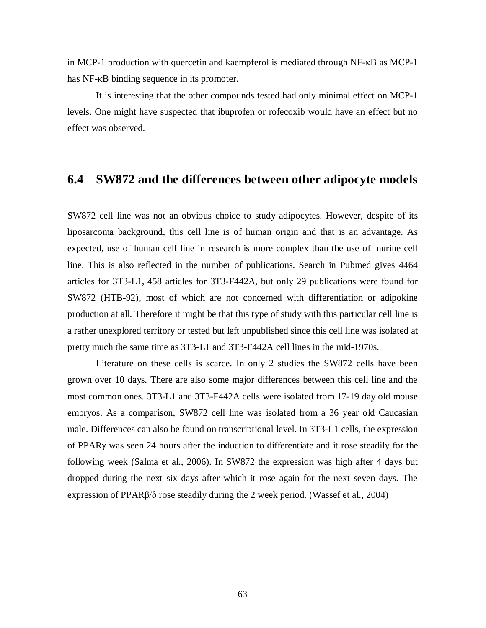in MCP-1 production with quercetin and kaempferol is mediated through  $NF$ - $KB$  as MCP-1 has NF- $\kappa$ B binding sequence in its promoter.

It is interesting that the other compounds tested had only minimal effect on MCP-1 levels. One might have suspected that ibuprofen or rofecoxib would have an effect but no effect was observed.

#### **6.4 SW872 and the differences between other adipocyte models**

SW872 cell line was not an obvious choice to study adipocytes. However, despite of its liposarcoma background, this cell line is of human origin and that is an advantage. As expected, use of human cell line in research is more complex than the use of murine cell line. This is also reflected in the number of publications. Search in Pubmed gives 4464 articles for 3T3-L1, 458 articles for 3T3-F442A, but only 29 publications were found for SW872 (HTB-92), most of which are not concerned with differentiation or adipokine production at all. Therefore it might be that this type of study with this particular cell line is a rather unexplored territory or tested but left unpublished since this cell line was isolated at pretty much the same time as 3T3-L1 and 3T3-F442A cell lines in the mid-1970s.

Literature on these cells is scarce. In only 2 studies the SW872 cells have been grown over 10 days. There are also some major differences between this cell line and the most common ones. 3T3-L1 and 3T3-F442A cells were isolated from 17-19 day old mouse embryos. As a comparison, SW872 cell line was isolated from a 36 year old Caucasian male. Differences can also be found on transcriptional level. In 3T3-L1 cells, the expression of PPARȖ was seen 24 hours after the induction to differentiate and it rose steadily for the following week (Salma et al., 2006). In SW872 the expression was high after 4 days but dropped during the next six days after which it rose again for the next seven days. The expression of PPAR $\beta/\delta$  rose steadily during the 2 week period. (Wassef et al., 2004)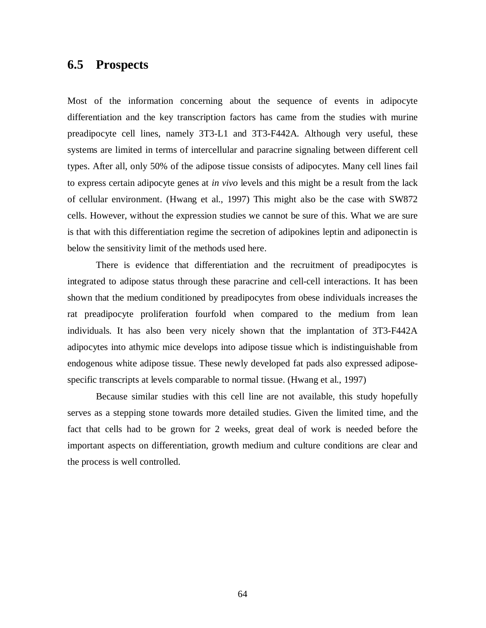## **6.5 Prospects**

Most of the information concerning about the sequence of events in adipocyte differentiation and the key transcription factors has came from the studies with murine preadipocyte cell lines, namely 3T3-L1 and 3T3-F442A. Although very useful, these systems are limited in terms of intercellular and paracrine signaling between different cell types. After all, only 50% of the adipose tissue consists of adipocytes. Many cell lines fail to express certain adipocyte genes at *in vivo* levels and this might be a result from the lack of cellular environment. (Hwang et al., 1997) This might also be the case with SW872 cells. However, without the expression studies we cannot be sure of this. What we are sure is that with this differentiation regime the secretion of adipokines leptin and adiponectin is below the sensitivity limit of the methods used here.

There is evidence that differentiation and the recruitment of preadipocytes is integrated to adipose status through these paracrine and cell-cell interactions. It has been shown that the medium conditioned by preadipocytes from obese individuals increases the rat preadipocyte proliferation fourfold when compared to the medium from lean individuals. It has also been very nicely shown that the implantation of 3T3-F442A adipocytes into athymic mice develops into adipose tissue which is indistinguishable from endogenous white adipose tissue. These newly developed fat pads also expressed adiposespecific transcripts at levels comparable to normal tissue. (Hwang et al., 1997)

Because similar studies with this cell line are not available, this study hopefully serves as a stepping stone towards more detailed studies. Given the limited time, and the fact that cells had to be grown for 2 weeks, great deal of work is needed before the important aspects on differentiation, growth medium and culture conditions are clear and the process is well controlled.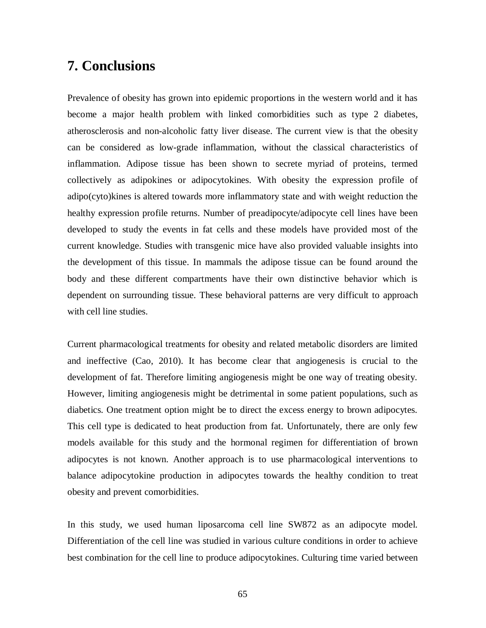## **7. Conclusions**

Prevalence of obesity has grown into epidemic proportions in the western world and it has become a major health problem with linked comorbidities such as type 2 diabetes, atherosclerosis and non-alcoholic fatty liver disease. The current view is that the obesity can be considered as low-grade inflammation, without the classical characteristics of inflammation. Adipose tissue has been shown to secrete myriad of proteins, termed collectively as adipokines or adipocytokines. With obesity the expression profile of adipo(cyto)kines is altered towards more inflammatory state and with weight reduction the healthy expression profile returns. Number of preadipocyte/adipocyte cell lines have been developed to study the events in fat cells and these models have provided most of the current knowledge. Studies with transgenic mice have also provided valuable insights into the development of this tissue. In mammals the adipose tissue can be found around the body and these different compartments have their own distinctive behavior which is dependent on surrounding tissue. These behavioral patterns are very difficult to approach with cell line studies.

Current pharmacological treatments for obesity and related metabolic disorders are limited and ineffective (Cao, 2010). It has become clear that angiogenesis is crucial to the development of fat. Therefore limiting angiogenesis might be one way of treating obesity. However, limiting angiogenesis might be detrimental in some patient populations, such as diabetics. One treatment option might be to direct the excess energy to brown adipocytes. This cell type is dedicated to heat production from fat. Unfortunately, there are only few models available for this study and the hormonal regimen for differentiation of brown adipocytes is not known. Another approach is to use pharmacological interventions to balance adipocytokine production in adipocytes towards the healthy condition to treat obesity and prevent comorbidities.

In this study, we used human liposarcoma cell line SW872 as an adipocyte model. Differentiation of the cell line was studied in various culture conditions in order to achieve best combination for the cell line to produce adipocytokines. Culturing time varied between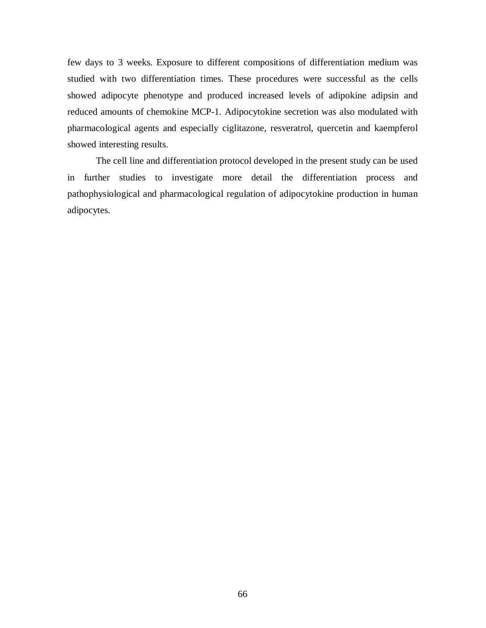few days to 3 weeks. Exposure to different compositions of differentiation medium was studied with two differentiation times. These procedures were successful as the cells showed adipocyte phenotype and produced increased levels of adipokine adipsin and reduced amounts of chemokine MCP-1. Adipocytokine secretion was also modulated with pharmacological agents and especially ciglitazone, resveratrol, quercetin and kaempferol showed interesting results.

The cell line and differentiation protocol developed in the present study can be used in further studies to investigate more detail the differentiation process and pathophysiological and pharmacological regulation of adipocytokine production in human adipocytes.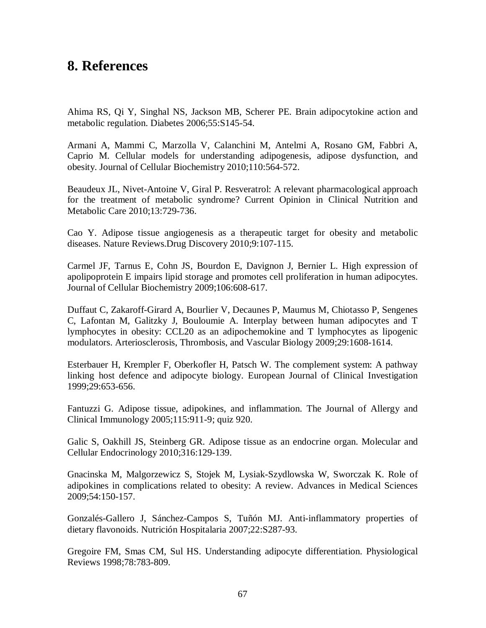## **8. References**

Ahima RS, Qi Y, Singhal NS, Jackson MB, Scherer PE. Brain adipocytokine action and metabolic regulation. Diabetes 2006;55:S145-54.

Armani A, Mammi C, Marzolla V, Calanchini M, Antelmi A, Rosano GM, Fabbri A, Caprio M. Cellular models for understanding adipogenesis, adipose dysfunction, and obesity. Journal of Cellular Biochemistry 2010;110:564-572.

Beaudeux JL, Nivet-Antoine V, Giral P. Resveratrol: A relevant pharmacological approach for the treatment of metabolic syndrome? Current Opinion in Clinical Nutrition and Metabolic Care 2010;13:729-736.

Cao Y. Adipose tissue angiogenesis as a therapeutic target for obesity and metabolic diseases. Nature Reviews.Drug Discovery 2010;9:107-115.

Carmel JF, Tarnus E, Cohn JS, Bourdon E, Davignon J, Bernier L. High expression of apolipoprotein E impairs lipid storage and promotes cell proliferation in human adipocytes. Journal of Cellular Biochemistry 2009;106:608-617.

Duffaut C, Zakaroff-Girard A, Bourlier V, Decaunes P, Maumus M, Chiotasso P, Sengenes C, Lafontan M, Galitzky J, Bouloumie A. Interplay between human adipocytes and T lymphocytes in obesity: CCL20 as an adipochemokine and T lymphocytes as lipogenic modulators. Arteriosclerosis, Thrombosis, and Vascular Biology 2009;29:1608-1614.

Esterbauer H, Krempler F, Oberkofler H, Patsch W. The complement system: A pathway linking host defence and adipocyte biology. European Journal of Clinical Investigation 1999;29:653-656.

Fantuzzi G. Adipose tissue, adipokines, and inflammation. The Journal of Allergy and Clinical Immunology 2005;115:911-9; quiz 920.

Galic S, Oakhill JS, Steinberg GR. Adipose tissue as an endocrine organ. Molecular and Cellular Endocrinology 2010;316:129-139.

Gnacinska M, Malgorzewicz S, Stojek M, Lysiak-Szydlowska W, Sworczak K. Role of adipokines in complications related to obesity: A review. Advances in Medical Sciences 2009;54:150-157.

Gonzalés-Gallero J, Sánchez-Campos S, Tuñón MJ. Anti-inflammatory properties of dietary flavonoids. Nutrición Hospitalaria 2007;22:S287-93.

Gregoire FM, Smas CM, Sul HS. Understanding adipocyte differentiation. Physiological Reviews 1998;78:783-809.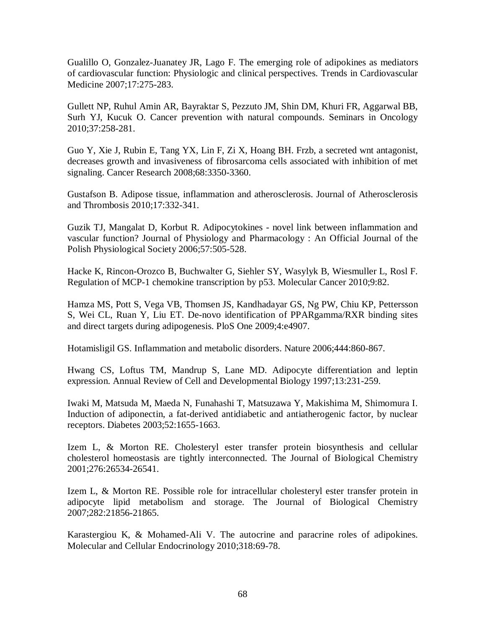Gualillo O, Gonzalez-Juanatey JR, Lago F. The emerging role of adipokines as mediators of cardiovascular function: Physiologic and clinical perspectives. Trends in Cardiovascular Medicine 2007;17:275-283.

Gullett NP, Ruhul Amin AR, Bayraktar S, Pezzuto JM, Shin DM, Khuri FR, Aggarwal BB, Surh YJ, Kucuk O. Cancer prevention with natural compounds. Seminars in Oncology 2010;37:258-281.

Guo Y, Xie J, Rubin E, Tang YX, Lin F, Zi X, Hoang BH. Frzb, a secreted wnt antagonist, decreases growth and invasiveness of fibrosarcoma cells associated with inhibition of met signaling. Cancer Research 2008;68:3350-3360.

Gustafson B. Adipose tissue, inflammation and atherosclerosis. Journal of Atherosclerosis and Thrombosis 2010;17:332-341.

Guzik TJ, Mangalat D, Korbut R. Adipocytokines - novel link between inflammation and vascular function? Journal of Physiology and Pharmacology : An Official Journal of the Polish Physiological Society 2006;57:505-528.

Hacke K, Rincon-Orozco B, Buchwalter G, Siehler SY, Wasylyk B, Wiesmuller L, Rosl F. Regulation of MCP-1 chemokine transcription by p53. Molecular Cancer 2010;9:82.

Hamza MS, Pott S, Vega VB, Thomsen JS, Kandhadayar GS, Ng PW, Chiu KP, Pettersson S, Wei CL, Ruan Y, Liu ET. De-novo identification of PPARgamma/RXR binding sites and direct targets during adipogenesis. PloS One 2009;4:e4907.

Hotamisligil GS. Inflammation and metabolic disorders. Nature 2006;444:860-867.

Hwang CS, Loftus TM, Mandrup S, Lane MD. Adipocyte differentiation and leptin expression. Annual Review of Cell and Developmental Biology 1997;13:231-259.

Iwaki M, Matsuda M, Maeda N, Funahashi T, Matsuzawa Y, Makishima M, Shimomura I. Induction of adiponectin, a fat-derived antidiabetic and antiatherogenic factor, by nuclear receptors. Diabetes 2003;52:1655-1663.

Izem L, & Morton RE. Cholesteryl ester transfer protein biosynthesis and cellular cholesterol homeostasis are tightly interconnected. The Journal of Biological Chemistry 2001;276:26534-26541.

Izem L, & Morton RE. Possible role for intracellular cholesteryl ester transfer protein in adipocyte lipid metabolism and storage. The Journal of Biological Chemistry 2007;282:21856-21865.

Karastergiou K, & Mohamed-Ali V. The autocrine and paracrine roles of adipokines. Molecular and Cellular Endocrinology 2010;318:69-78.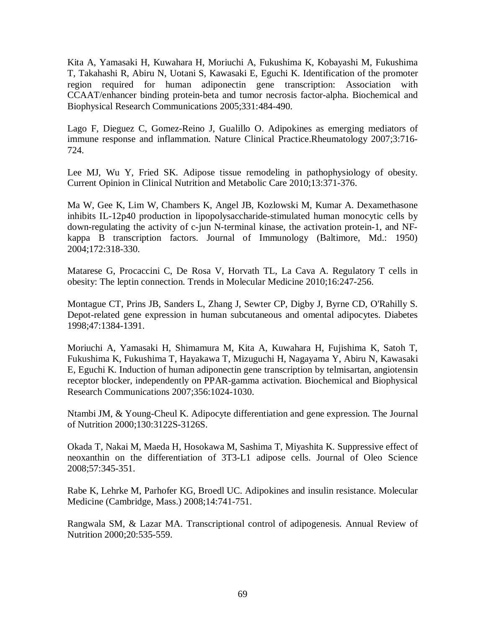Kita A, Yamasaki H, Kuwahara H, Moriuchi A, Fukushima K, Kobayashi M, Fukushima T, Takahashi R, Abiru N, Uotani S, Kawasaki E, Eguchi K. Identification of the promoter region required for human adiponectin gene transcription: Association with CCAAT/enhancer binding protein-beta and tumor necrosis factor-alpha. Biochemical and Biophysical Research Communications 2005;331:484-490.

Lago F, Dieguez C, Gomez-Reino J, Gualillo O. Adipokines as emerging mediators of immune response and inflammation. Nature Clinical Practice.Rheumatology 2007;3:716- 724.

Lee MJ, Wu Y, Fried SK. Adipose tissue remodeling in pathophysiology of obesity. Current Opinion in Clinical Nutrition and Metabolic Care 2010;13:371-376.

Ma W, Gee K, Lim W, Chambers K, Angel JB, Kozlowski M, Kumar A. Dexamethasone inhibits IL-12p40 production in lipopolysaccharide-stimulated human monocytic cells by down-regulating the activity of c-jun N-terminal kinase, the activation protein-1, and NFkappa B transcription factors. Journal of Immunology (Baltimore, Md.: 1950) 2004;172:318-330.

Matarese G, Procaccini C, De Rosa V, Horvath TL, La Cava A. Regulatory T cells in obesity: The leptin connection. Trends in Molecular Medicine 2010;16:247-256.

Montague CT, Prins JB, Sanders L, Zhang J, Sewter CP, Digby J, Byrne CD, O'Rahilly S. Depot-related gene expression in human subcutaneous and omental adipocytes. Diabetes 1998;47:1384-1391.

Moriuchi A, Yamasaki H, Shimamura M, Kita A, Kuwahara H, Fujishima K, Satoh T, Fukushima K, Fukushima T, Hayakawa T, Mizuguchi H, Nagayama Y, Abiru N, Kawasaki E, Eguchi K. Induction of human adiponectin gene transcription by telmisartan, angiotensin receptor blocker, independently on PPAR-gamma activation. Biochemical and Biophysical Research Communications 2007;356:1024-1030.

Ntambi JM, & Young-Cheul K. Adipocyte differentiation and gene expression. The Journal of Nutrition 2000;130:3122S-3126S.

Okada T, Nakai M, Maeda H, Hosokawa M, Sashima T, Miyashita K. Suppressive effect of neoxanthin on the differentiation of 3T3-L1 adipose cells. Journal of Oleo Science 2008;57:345-351.

Rabe K, Lehrke M, Parhofer KG, Broedl UC. Adipokines and insulin resistance. Molecular Medicine (Cambridge, Mass.) 2008;14:741-751.

Rangwala SM, & Lazar MA. Transcriptional control of adipogenesis. Annual Review of Nutrition 2000;20:535-559.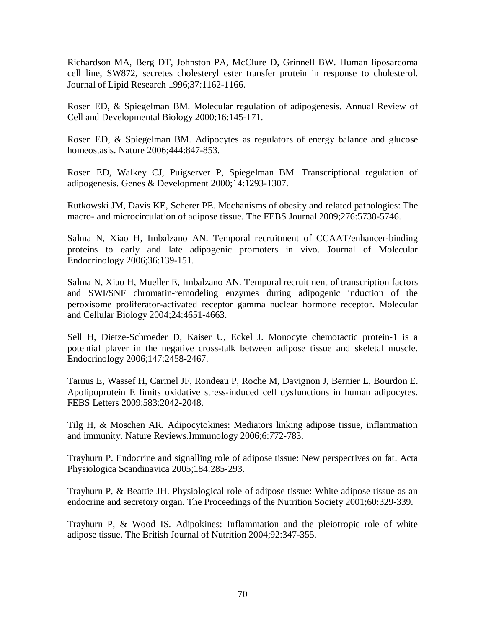Richardson MA, Berg DT, Johnston PA, McClure D, Grinnell BW. Human liposarcoma cell line, SW872, secretes cholesteryl ester transfer protein in response to cholesterol. Journal of Lipid Research 1996;37:1162-1166.

Rosen ED, & Spiegelman BM. Molecular regulation of adipogenesis. Annual Review of Cell and Developmental Biology 2000;16:145-171.

Rosen ED, & Spiegelman BM. Adipocytes as regulators of energy balance and glucose homeostasis. Nature 2006;444:847-853.

Rosen ED, Walkey CJ, Puigserver P, Spiegelman BM. Transcriptional regulation of adipogenesis. Genes & Development 2000;14:1293-1307.

Rutkowski JM, Davis KE, Scherer PE. Mechanisms of obesity and related pathologies: The macro- and microcirculation of adipose tissue. The FEBS Journal 2009;276:5738-5746.

Salma N, Xiao H, Imbalzano AN. Temporal recruitment of CCAAT/enhancer-binding proteins to early and late adipogenic promoters in vivo. Journal of Molecular Endocrinology 2006;36:139-151.

Salma N, Xiao H, Mueller E, Imbalzano AN. Temporal recruitment of transcription factors and SWI/SNF chromatin-remodeling enzymes during adipogenic induction of the peroxisome proliferator-activated receptor gamma nuclear hormone receptor. Molecular and Cellular Biology 2004;24:4651-4663.

Sell H, Dietze-Schroeder D, Kaiser U, Eckel J. Monocyte chemotactic protein-1 is a potential player in the negative cross-talk between adipose tissue and skeletal muscle. Endocrinology 2006;147:2458-2467.

Tarnus E, Wassef H, Carmel JF, Rondeau P, Roche M, Davignon J, Bernier L, Bourdon E. Apolipoprotein E limits oxidative stress-induced cell dysfunctions in human adipocytes. FEBS Letters 2009;583:2042-2048.

Tilg H, & Moschen AR. Adipocytokines: Mediators linking adipose tissue, inflammation and immunity. Nature Reviews.Immunology 2006;6:772-783.

Trayhurn P. Endocrine and signalling role of adipose tissue: New perspectives on fat. Acta Physiologica Scandinavica 2005;184:285-293.

Trayhurn P, & Beattie JH. Physiological role of adipose tissue: White adipose tissue as an endocrine and secretory organ. The Proceedings of the Nutrition Society 2001;60:329-339.

Trayhurn P, & Wood IS. Adipokines: Inflammation and the pleiotropic role of white adipose tissue. The British Journal of Nutrition 2004;92:347-355.